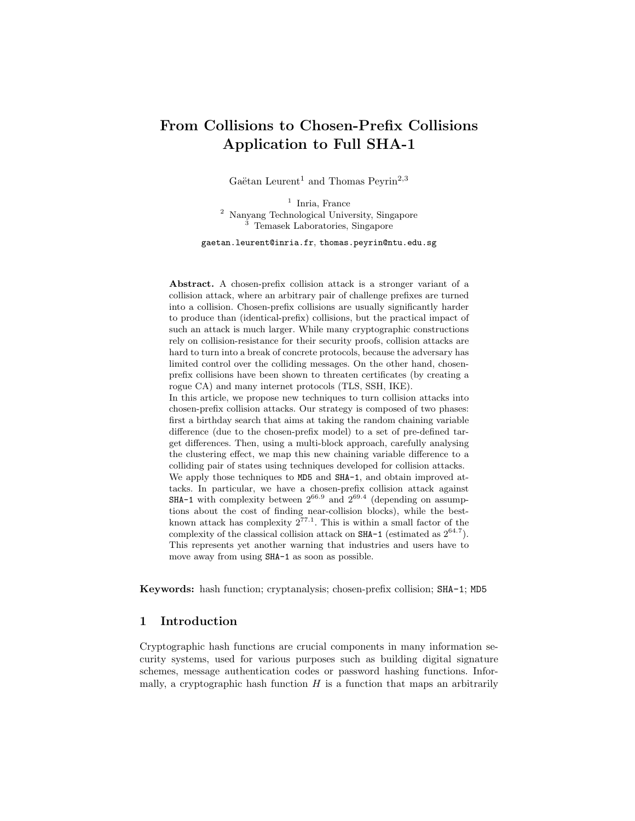# From Collisions to Chosen-Prefix Collisions Application to Full SHA-1

Gaëtan Leurent<sup>1</sup> and Thomas Peyrin<sup>2,3</sup>

<sup>1</sup> Inria, France <sup>2</sup> Nanyang Technological University, Singapore <sup>3</sup> Temasek Laboratories, Singapore

gaetan.leurent@inria.fr, thomas.peyrin@ntu.edu.sg

Abstract. A chosen-prefix collision attack is a stronger variant of a collision attack, where an arbitrary pair of challenge prefixes are turned into a collision. Chosen-prefix collisions are usually significantly harder to produce than (identical-prefix) collisions, but the practical impact of such an attack is much larger. While many cryptographic constructions rely on collision-resistance for their security proofs, collision attacks are hard to turn into a break of concrete protocols, because the adversary has limited control over the colliding messages. On the other hand, chosenprefix collisions have been shown to threaten certificates (by creating a rogue CA) and many internet protocols (TLS, SSH, IKE). In this article, we propose new techniques to turn collision attacks into chosen-prefix collision attacks. Our strategy is composed of two phases: first a birthday search that aims at taking the random chaining variable difference (due to the chosen-prefix model) to a set of pre-defined target differences. Then, using a multi-block approach, carefully analysing the clustering effect, we map this new chaining variable difference to a colliding pair of states using techniques developed for collision attacks. We apply those techniques to MD5 and SHA-1, and obtain improved attacks. In particular, we have a chosen-prefix collision attack against SHA-1 with complexity between  $2^{66.9}$  and  $2^{69.4}$  (depending on assumptions about the cost of finding near-collision blocks), while the bestknown attack has complexity  $2^{77.1}$ . This is within a small factor of the complexity of the classical collision attack on  $SHA-1$  (estimated as  $2^{64.7}$ ). This represents yet another warning that industries and users have to move away from using SHA-1 as soon as possible.

Keywords: hash function; cryptanalysis; chosen-prefix collision; SHA-1; MD5

# 1 Introduction

Cryptographic hash functions are crucial components in many information security systems, used for various purposes such as building digital signature schemes, message authentication codes or password hashing functions. Informally, a cryptographic hash function  $H$  is a function that maps an arbitrarily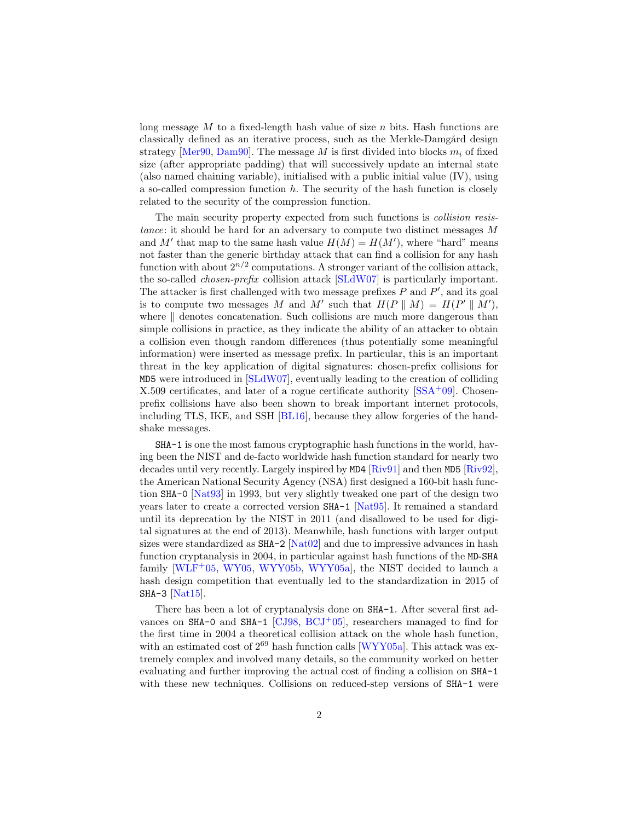long message  $M$  to a fixed-length hash value of size  $n$  bits. Hash functions are classically defined as an iterative process, such as the Merkle-Damgård design strategy [\[Mer90,](#page-28-0) [Dam90\]](#page-28-1). The message M is first divided into blocks  $m_i$  of fixed size (after appropriate padding) that will successively update an internal state (also named chaining variable), initialised with a public initial value (IV), using a so-called compression function  $h$ . The security of the hash function is closely related to the security of the compression function.

The main security property expected from such functions is collision resistance: it should be hard for an adversary to compute two distinct messages M and M' that map to the same hash value  $H(M) = H(M')$ , where "hard" means not faster than the generic birthday attack that can find a collision for any hash function with about  $2^{n/2}$  computations. A stronger variant of the collision attack, the so-called chosen-prefix collision attack [\[SLdW07\]](#page-29-0) is particularly important. The attacker is first challenged with two message prefixes  $P$  and  $P'$ , and its goal is to compute two messages M and M' such that  $H(P \parallel M) = H(P' \parallel M')$ , where  $\parallel$  denotes concatenation. Such collisions are much more dangerous than simple collisions in practice, as they indicate the ability of an attacker to obtain a collision even though random differences (thus potentially some meaningful information) were inserted as message prefix. In particular, this is an important threat in the key application of digital signatures: chosen-prefix collisions for MD5 were introduced in [\[SLdW07\]](#page-29-0), eventually leading to the creation of colliding X.509 certificates, and later of a rogue certificate authority  $SSA<sup>+</sup>09$ . Chosenprefix collisions have also been shown to break important internet protocols, including TLS, IKE, and SSH [\[BL16\]](#page-27-0), because they allow forgeries of the handshake messages.

SHA-1 is one the most famous cryptographic hash functions in the world, having been the NIST and de-facto worldwide hash function standard for nearly two decades until very recently. Largely inspired by MD4 [\[Riv91\]](#page-28-2) and then MD5 [\[Riv92\]](#page-29-2), the American National Security Agency (NSA) first designed a 160-bit hash function SHA-0 [\[Nat93\]](#page-28-3) in 1993, but very slightly tweaked one part of the design two years later to create a corrected version SHA-1 [\[Nat95\]](#page-28-4). It remained a standard until its deprecation by the NIST in 2011 (and disallowed to be used for digital signatures at the end of 2013). Meanwhile, hash functions with larger output sizes were standardized as SHA-2 [\[Nat02\]](#page-28-5) and due to impressive advances in hash function cryptanalysis in 2004, in particular against hash functions of the MD-SHA family  $[WLF<sup>+</sup>05, WY05, WYY05b, WYY05a]$  $[WLF<sup>+</sup>05, WY05, WYY05b, WYY05a]$  $[WLF<sup>+</sup>05, WY05, WYY05b, WYY05a]$  $[WLF<sup>+</sup>05, WY05, WYY05b, WYY05a]$  $[WLF<sup>+</sup>05, WY05, WYY05b, WYY05a]$  $[WLF<sup>+</sup>05, WY05, WYY05b, WYY05a]$  $[WLF<sup>+</sup>05, WY05, WYY05b, WYY05a]$ , the NIST decided to launch a hash design competition that eventually led to the standardization in 2015 of SHA-3 [\[Nat15\]](#page-28-6).

There has been a lot of cryptanalysis done on SHA-1. After several first advances on SHA-0 and SHA-1  $\left[CI98, BCJ^{+}05\right]$  $\left[CI98, BCJ^{+}05\right]$  $\left[CI98, BCJ^{+}05\right]$ , researchers managed to find for the first time in 2004 a theoretical collision attack on the whole hash function, with an estimated cost of  $2^{69}$  hash function calls [\[WYY05a\]](#page-29-6). This attack was extremely complex and involved many details, so the community worked on better evaluating and further improving the actual cost of finding a collision on SHA-1 with these new techniques. Collisions on reduced-step versions of SHA-1 were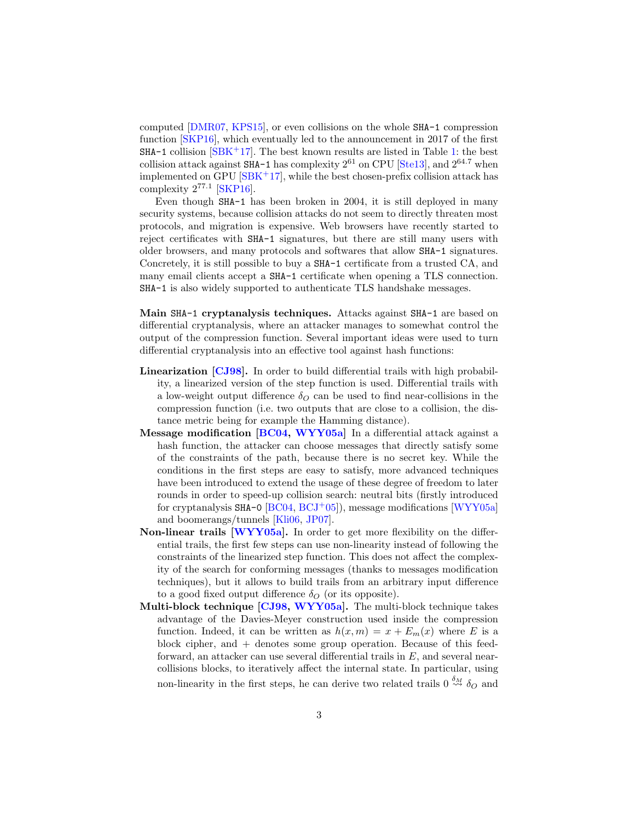computed [\[DMR07,](#page-28-7) [KPS15\]](#page-28-8), or even collisions on the whole SHA-1 compression function [\[SKP16\]](#page-29-7), which eventually led to the announcement in 2017 of the first  $SHA-1$  collision  $[SBK+17]$  $[SBK+17]$ . The best known results are listed in Table [1:](#page-6-0) the best collision attack against  $\overline{SHA}$ -1 has complexity  $2^{61}$  on CPU [\[Ste13\]](#page-29-9), and  $2^{64.7}$  when implemented on GPU  $[SBK^+17]$  $[SBK^+17]$ , while the best chosen-prefix collision attack has complexity  $2^{77.1}$  [\[SKP16\]](#page-29-7).

Even though SHA-1 has been broken in 2004, it is still deployed in many security systems, because collision attacks do not seem to directly threaten most protocols, and migration is expensive. Web browsers have recently started to reject certificates with SHA-1 signatures, but there are still many users with older browsers, and many protocols and softwares that allow SHA-1 signatures. Concretely, it is still possible to buy a SHA-1 certificate from a trusted CA, and many email clients accept a SHA-1 certificate when opening a TLS connection. SHA-1 is also widely supported to authenticate TLS handshake messages.

Main SHA-1 cryptanalysis techniques. Attacks against SHA-1 are based on differential cryptanalysis, where an attacker manages to somewhat control the output of the compression function. Several important ideas were used to turn differential cryptanalysis into an effective tool against hash functions:

- Linearization [\[CJ98\]](#page-27-1). In order to build differential trails with high probability, a linearized version of the step function is used. Differential trails with a low-weight output difference  $\delta_Q$  can be used to find near-collisions in the compression function (i.e. two outputs that are close to a collision, the distance metric being for example the Hamming distance).
- Message modification [\[BC04,](#page-27-3) [WYY05a\]](#page-29-6) In a differential attack against a hash function, the attacker can choose messages that directly satisfy some of the constraints of the path, because there is no secret key. While the conditions in the first steps are easy to satisfy, more advanced techniques have been introduced to extend the usage of these degree of freedom to later rounds in order to speed-up collision search: neutral bits (firstly introduced for cryptanalysis SHA-0  $[BC04, BCJ<sup>+</sup>05]$  $[BC04, BCJ<sup>+</sup>05]$  $[BC04, BCJ<sup>+</sup>05]$  $[BC04, BCJ<sup>+</sup>05]$ , message modifications  $[WYY05a]$ and boomerangs/tunnels [\[Kli06,](#page-28-9) [JP07\]](#page-28-10).
- Non-linear trails **WYY05a**. In order to get more flexibility on the differential trails, the first few steps can use non-linearity instead of following the constraints of the linearized step function. This does not affect the complexity of the search for conforming messages (thanks to messages modification techniques), but it allows to build trails from an arbitrary input difference to a good fixed output difference  $\delta_{\mathcal{O}}$  (or its opposite).
- Multi-block technique [\[CJ98,](#page-27-1) [WYY05a\]](#page-29-6). The multi-block technique takes advantage of the Davies-Meyer construction used inside the compression function. Indeed, it can be written as  $h(x, m) = x + E_m(x)$  where E is a block cipher, and + denotes some group operation. Because of this feedforward, an attacker can use several differential trails in E, and several nearcollisions blocks, to iteratively affect the internal state. In particular, using non-linearity in the first steps, he can derive two related trails  $0 \stackrel{\delta_M}{\leadsto} \delta_O$  and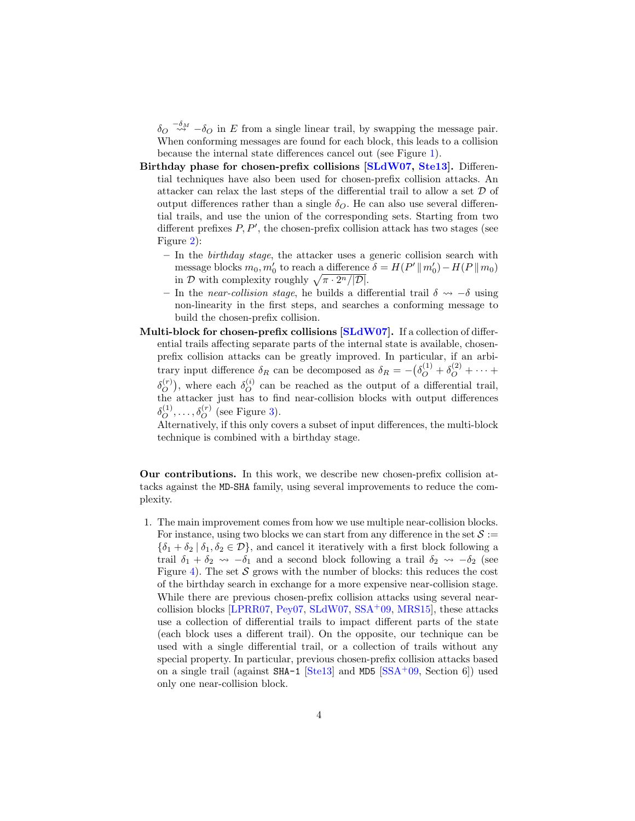$\delta_{\mathcal{O}} \stackrel{-\delta_M}{\leadsto} -\delta_{\mathcal{O}}$  in E from a single linear trail, by swapping the message pair. When conforming messages are found for each block, this leads to a collision because the internal state differences cancel out (see Figure [1\)](#page-4-0).

- Birthday phase for chosen-prefix collisions [\[SLdW07,](#page-29-0) [Ste13\]](#page-29-9). Differential techniques have also been used for chosen-prefix collision attacks. An attacker can relax the last steps of the differential trail to allow a set  $\mathcal D$  of output differences rather than a single  $\delta_{\Omega}$ . He can also use several differential trails, and use the union of the corresponding sets. Starting from two different prefixes  $P, P'$ , the chosen-prefix collision attack has two stages (see Figure [2\)](#page-4-1):
	- In the birthday stage, the attacker uses a generic collision search with message blocks  $m_0, m'_0$  to reach a difference  $\delta = H(P' || m'_0) - H(P || m_0)$ in D with complexity roughly  $\sqrt{\pi \cdot 2^n/|\mathcal{D}|}$ .
	- In the *near-collision stage*, he builds a differential trail δ  $\rightarrow$  −δ using non-linearity in the first steps, and searches a conforming message to build the chosen-prefix collision.
- Multi-block for chosen-prefix collisions [\[SLdW07\]](#page-29-0). If a collection of differential trails affecting separate parts of the internal state is available, chosenprefix collision attacks can be greatly improved. In particular, if an arbitrary input difference  $\delta_R$  can be decomposed as  $\delta_R = -\left(\delta_O^{(1)} + \delta_O^{(2)} + \cdots + \delta_O^{(n)}\right)$  $\delta_{\overline{O}}^{(r)}$  $O(D)$ , where each  $\delta_{Q}^{(i)}$  can be reached as the output of a differential trail, the attacker just has to find near-collision blocks with output differences  $\delta_O^{(1)}, \ldots, \delta_O^{(r)}$  (see Figure [3\)](#page-4-2).

Alternatively, if this only covers a subset of input differences, the multi-block technique is combined with a birthday stage.

Our contributions. In this work, we describe new chosen-prefix collision attacks against the MD-SHA family, using several improvements to reduce the complexity.

1. The main improvement comes from how we use multiple near-collision blocks. For instance, using two blocks we can start from any difference in the set  $S :=$  $\{\delta_1 + \delta_2 \mid \delta_1, \delta_2 \in \mathcal{D}\}\$ , and cancel it iteratively with a first block following a trail  $\delta_1 + \delta_2 \rightarrow -\delta_1$  and a second block following a trail  $\delta_2 \rightarrow -\delta_2$  (see Figure [4\)](#page-13-0). The set  $S$  grows with the number of blocks: this reduces the cost of the birthday search in exchange for a more expensive near-collision stage. While there are previous chosen-prefix collision attacks using several near-collision blocks [\[LPRR07,](#page-28-11) [Pey07,](#page-28-12) [SLdW07,](#page-29-0)  $SSA<sup>+</sup>09$  $SSA<sup>+</sup>09$ , [MRS15\]](#page-28-13), these attacks use a collection of differential trails to impact different parts of the state (each block uses a different trail). On the opposite, our technique can be used with a single differential trail, or a collection of trails without any special property. In particular, previous chosen-prefix collision attacks based on a single trail (against  $SHA-1$  [\[Ste13\]](#page-29-9) and MD5 [\[SSA](#page-29-1)+09, Section 6]) used only one near-collision block.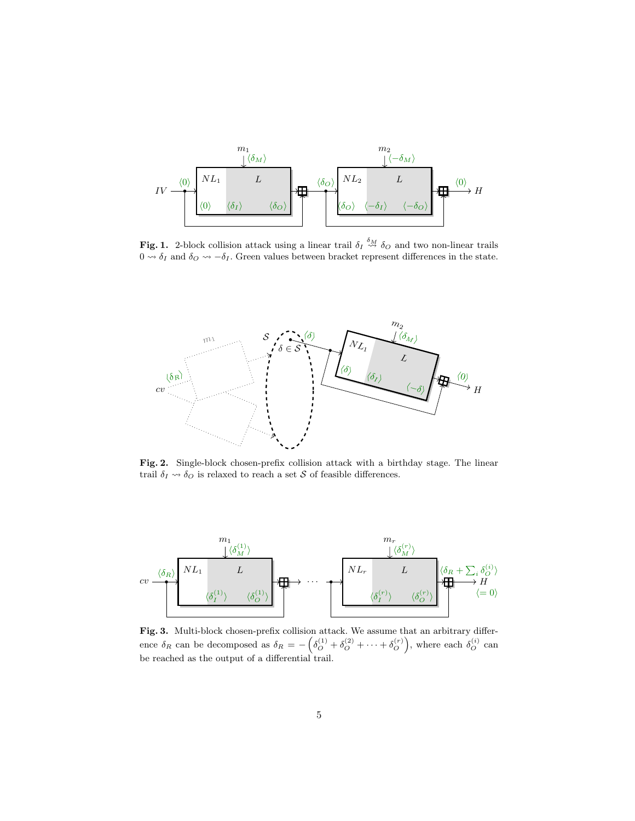

<span id="page-4-0"></span>Fig. 1. 2-block collision attack using a linear trail  $\delta_I \stackrel{\delta_M}{\leadsto} \delta_O$  and two non-linear trails  $0 \rightarrow \delta_I$  and  $\delta_O \rightarrow -\delta_I$ . Green values between bracket represent differences in the state.



<span id="page-4-1"></span>Fig. 2. Single-block chosen-prefix collision attack with a birthday stage. The linear trail  $\delta_I\leadsto\delta_O$  is relaxed to reach a set  $\mathcal S$  of feasible differences.



<span id="page-4-2"></span>Fig. 3. Multi-block chosen-prefix collision attack. We assume that an arbitrary difference  $\delta_R$  can be decomposed as  $\delta_R = -\left(\delta_O^{(1)} + \delta_O^{(2)} + \cdots + \delta_O^{(r)}\right)$ , where each  $\delta_O^{(i)}$  can be reached as the output of a differential trail.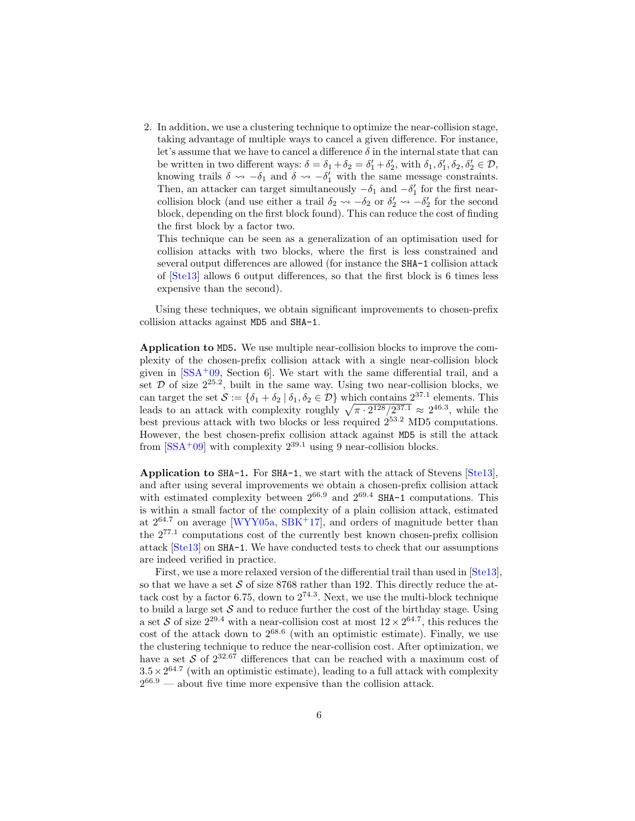2. In addition, we use a clustering technique to optimize the near-collision stage, taking advantage of multiple ways to cancel a given difference. For instance, let's assume that we have to cancel a difference  $\delta$  in the internal state that can be written in two different ways:  $\delta = \delta_1 + \delta_2 = \delta'_1 + \delta'_2$ , with  $\delta_1, \delta'_1, \delta_2, \delta'_2 \in \mathcal{D}$ , knowing trails  $\delta \rightarrow -\delta_1$  and  $\delta \rightarrow -\delta'_1$  with the same message constraints. Then, an attacker can target simultaneously  $-\delta_1$  and  $-\delta'_1$  for the first nearcollision block (and use either a trail  $\delta_2 \rightarrow -\delta_2$  or  $\delta'_2 \rightarrow -\delta'_2$  for the second block, depending on the first block found). This can reduce the cost of finding the first block by a factor two.

This technique can be seen as a generalization of an optimisation used for collision attacks with two blocks, where the first is less constrained and several output differences are allowed (for instance the SHA-1 collision attack of [\[Ste13\]](#page-29-9) allows 6 output differences, so that the first block is 6 times less expensive than the second).

Using these techniques, we obtain significant improvements to chosen-prefix collision attacks against MD5 and SHA-1.

Application to MD5. We use multiple near-collision blocks to improve the complexity of the chosen-prefix collision attack with a single near-collision block given in  $[SSA<sup>+</sup>09, Section 6]$  $[SSA<sup>+</sup>09, Section 6]$ . We start with the same differential trail, and a set  $D$  of size  $2^{25.2}$ , built in the same way. Using two near-collision blocks, we can target the set  $S := \{\delta_1 + \delta_2 \mid \delta_1, \delta_2 \in \mathcal{D}\}\$  which contains  $2^{37.1}$  elements. This leads to an attack with complexity roughly  $\sqrt{\pi \cdot 2^{128}/2^{37.1}} \approx 2^{46.3}$ , while the best previous attack with two blocks or less required  $2^{53.2}$  MD5 computations. However, the best chosen-prefix collision attack against MD5 is still the attack from  $SSA+09$  with complexity  $2^{39.1}$  using 9 near-collision blocks.

Application to SHA-1. For SHA-1, we start with the attack of Stevens [\[Ste13\]](#page-29-9), and after using several improvements we obtain a chosen-prefix collision attack with estimated complexity between  $2^{66.9}$  and  $2^{69.4}$  SHA-1 computations. This is within a small factor of the complexity of a plain collision attack, estimated at  $2^{64.7}$  on average [\[WYY05a,](#page-29-6) [SBK](#page-29-8)<sup>+</sup>17], and orders of magnitude better than the 277.<sup>1</sup> computations cost of the currently best known chosen-prefix collision attack [\[Ste13\]](#page-29-9) on SHA-1. We have conducted tests to check that our assumptions are indeed verified in practice.

First, we use a more relaxed version of the differential trail than used in [\[Ste13\]](#page-29-9), so that we have a set  $S$  of size 8768 rather than 192. This directly reduce the attack cost by a factor 6.75, down to  $2^{74.3}$ . Next, we use the multi-block technique to build a large set  $S$  and to reduce further the cost of the birthday stage. Using a set S of size  $2^{29.4}$  with a near-collision cost at most  $12 \times 2^{64.7}$ , this reduces the cost of the attack down to  $2^{68.6}$  (with an optimistic estimate). Finally, we use the clustering technique to reduce the near-collision cost. After optimization, we have a set  $S$  of  $2^{32.67}$  differences that can be reached with a maximum cost of  $3.5 \times 2^{64.7}$  (with an optimistic estimate), leading to a full attack with complexity  $2^{66.9}$  — about five time more expensive than the collision attack.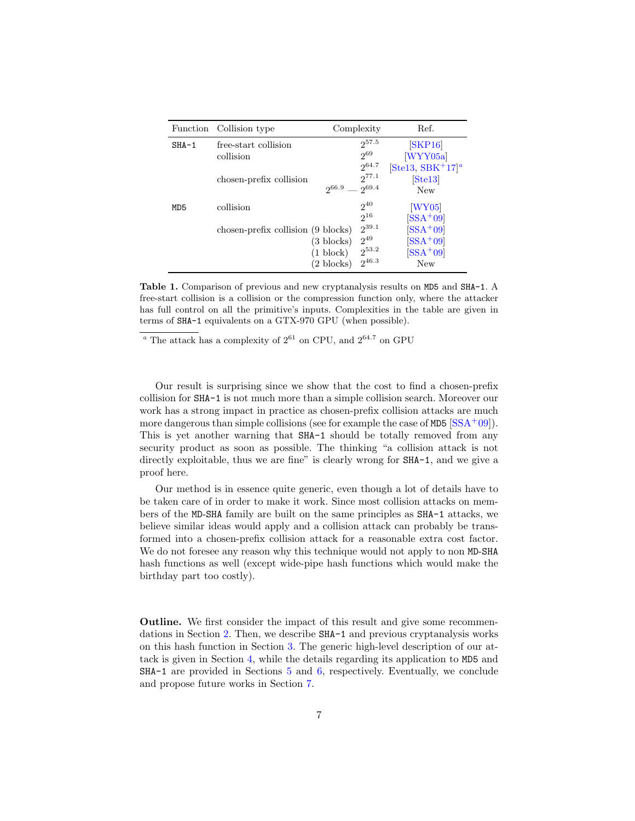| Function | Collision type                                               | Complexity                                                                                                                | Ref.                                                              |
|----------|--------------------------------------------------------------|---------------------------------------------------------------------------------------------------------------------------|-------------------------------------------------------------------|
| $SHA-1$  | free-start collision<br>collision<br>chosen-prefix collision | $2^{57.5}$<br>$2^{69}$<br>$2^{64.7}$<br>$2^{77.1}$<br>$2^{66.9}$ $-$<br>$2^{69.4}$                                        | $ $ SKP16 $ $<br>[WYY05a]<br>$[Ste13, SBK+17]a$<br> Ste13 <br>New |
| MD5      | collision                                                    | $2^{40}$<br>$2^{16}$                                                                                                      | WY05 <br>$SSA+09$                                                 |
|          | chosen-prefix collision (9 blocks)                           | $2^{39.1}$<br>$2^{49}$<br>$(3 \text{ blocks})$<br>$2^{53.2}$<br>$(1 \text{ block})$<br>$2^{46.3}$<br>$(2 \text{ blocks})$ | $SSA + 09$<br>$ {\rm SSA^+09} $<br>$SSA+09$<br>New                |

<span id="page-6-0"></span>Table 1. Comparison of previous and new cryptanalysis results on MD5 and SHA-1. A free-start collision is a collision or the compression function only, where the attacker has full control on all the primitive's inputs. Complexities in the table are given in terms of SHA-1 equivalents on a GTX-970 GPU (when possible).

<span id="page-6-1"></span><sup>*a*</sup> The attack has a complexity of  $2^{61}$  on CPU, and  $2^{64.7}$  on GPU

Our result is surprising since we show that the cost to find a chosen-prefix collision for SHA-1 is not much more than a simple collision search. Moreover our work has a strong impact in practice as chosen-prefix collision attacks are much more dangerous than simple collisions (see for example the case of  $MD5$  [\[SSA](#page-29-1)+09]). This is yet another warning that SHA-1 should be totally removed from any security product as soon as possible. The thinking "a collision attack is not directly exploitable, thus we are fine" is clearly wrong for  $SHA-1$ , and we give a proof here.

Our method is in essence quite generic, even though a lot of details have to be taken care of in order to make it work. Since most collision attacks on members of the MD-SHA family are built on the same principles as SHA-1 attacks, we believe similar ideas would apply and a collision attack can probably be transformed into a chosen-prefix collision attack for a reasonable extra cost factor. We do not foresee any reason why this technique would not apply to non MD-SHA hash functions as well (except wide-pipe hash functions which would make the birthday part too costly).

Outline. We first consider the impact of this result and give some recommendations in Section [2.](#page-7-0) Then, we describe SHA-1 and previous cryptanalysis works on this hash function in Section [3.](#page-9-0) The generic high-level description of our attack is given in Section [4,](#page-12-0) while the details regarding its application to MD5 and SHA-1 are provided in Sections [5](#page-18-0) and [6,](#page-19-0) respectively. Eventually, we conclude and propose future works in Section [7.](#page-26-0)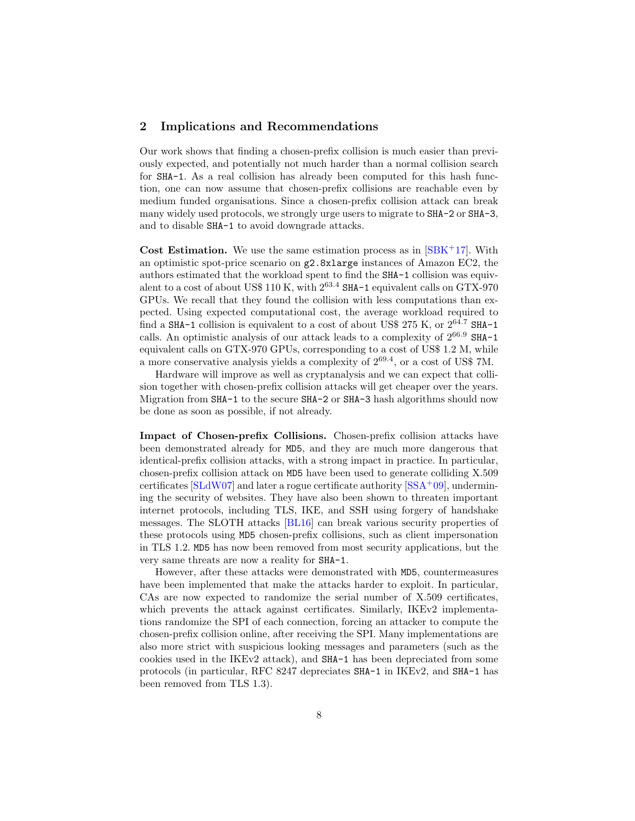# <span id="page-7-0"></span>2 Implications and Recommendations

Our work shows that finding a chosen-prefix collision is much easier than previously expected, and potentially not much harder than a normal collision search for SHA-1. As a real collision has already been computed for this hash function, one can now assume that chosen-prefix collisions are reachable even by medium funded organisations. Since a chosen-prefix collision attack can break many widely used protocols, we strongly urge users to migrate to SHA-2 or SHA-3, and to disable SHA-1 to avoid downgrade attacks.

**Cost Estimation.** We use the same estimation process as in  $[SBK+17]$  $[SBK+17]$ . With an optimistic spot-price scenario on g2.8xlarge instances of Amazon EC2, the authors estimated that the workload spent to find the SHA-1 collision was equivalent to a cost of about US\$ 110 K, with 2<sup>63</sup>.<sup>4</sup> SHA-1 equivalent calls on GTX-970 GPUs. We recall that they found the collision with less computations than expected. Using expected computational cost, the average workload required to find a SHA-1 collision is equivalent to a cost of about US\$ 275 K, or  $2^{64.7}$  SHA-1 calls. An optimistic analysis of our attack leads to a complexity of  $2^{66.9}$  SHA-1 equivalent calls on GTX-970 GPUs, corresponding to a cost of US\$ 1.2 M, while a more conservative analysis yields a complexity of  $2^{69.4}$ , or a cost of US\$ 7M.

Hardware will improve as well as cryptanalysis and we can expect that collision together with chosen-prefix collision attacks will get cheaper over the years. Migration from SHA-1 to the secure SHA-2 or SHA-3 hash algorithms should now be done as soon as possible, if not already.

Impact of Chosen-prefix Collisions. Chosen-prefix collision attacks have been demonstrated already for MD5, and they are much more dangerous that identical-prefix collision attacks, with a strong impact in practice. In particular, chosen-prefix collision attack on MD5 have been used to generate colliding X.509 certificates  $[SLdW07]$  and later a rogue certificate authority  $[SSA<sup>+</sup>09]$  $[SSA<sup>+</sup>09]$ , undermining the security of websites. They have also been shown to threaten important internet protocols, including TLS, IKE, and SSH using forgery of handshake messages. The SLOTH attacks [\[BL16\]](#page-27-0) can break various security properties of these protocols using MD5 chosen-prefix collisions, such as client impersonation in TLS 1.2. MD5 has now been removed from most security applications, but the very same threats are now a reality for SHA-1.

However, after these attacks were demonstrated with MD5, countermeasures have been implemented that make the attacks harder to exploit. In particular, CAs are now expected to randomize the serial number of X.509 certificates, which prevents the attack against certificates. Similarly, IKEv2 implementations randomize the SPI of each connection, forcing an attacker to compute the chosen-prefix collision online, after receiving the SPI. Many implementations are also more strict with suspicious looking messages and parameters (such as the cookies used in the IKEv2 attack), and SHA-1 has been depreciated from some protocols (in particular, RFC 8247 depreciates SHA-1 in IKEv2, and SHA-1 has been removed from TLS 1.3).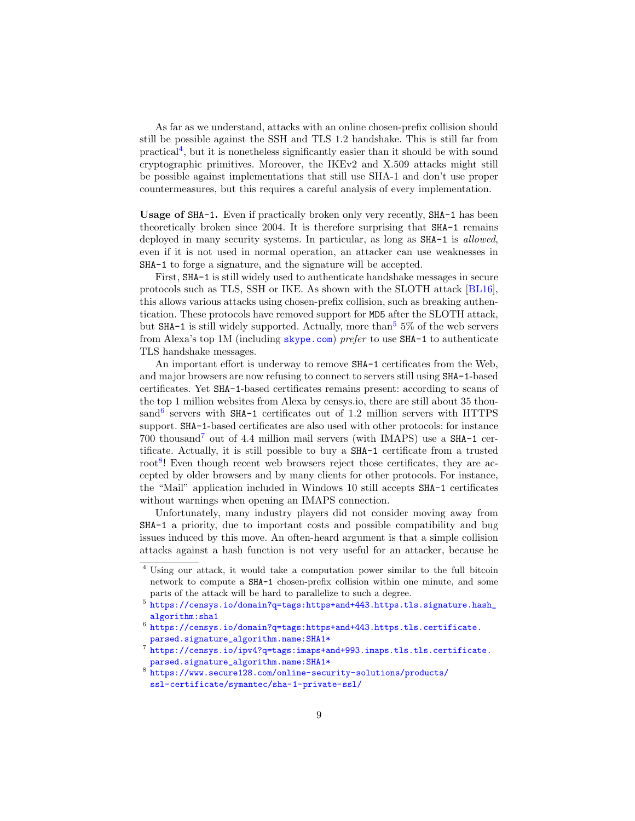As far as we understand, attacks with an online chosen-prefix collision should still be possible against the SSH and TLS 1.2 handshake. This is still far from practical[4](#page-8-0) , but it is nonetheless significantly easier than it should be with sound cryptographic primitives. Moreover, the IKEv2 and X.509 attacks might still be possible against implementations that still use SHA-1 and don't use proper countermeasures, but this requires a careful analysis of every implementation.

Usage of SHA-1. Even if practically broken only very recently, SHA-1 has been theoretically broken since 2004. It is therefore surprising that SHA-1 remains deployed in many security systems. In particular, as long as SHA-1 is allowed, even if it is not used in normal operation, an attacker can use weaknesses in SHA-1 to forge a signature, and the signature will be accepted.

First, SHA-1 is still widely used to authenticate handshake messages in secure protocols such as TLS, SSH or IKE. As shown with the SLOTH attack [\[BL16\]](#page-27-0), this allows various attacks using chosen-prefix collision, such as breaking authentication. These protocols have removed support for MD5 after the SLOTH attack, but  $SHA-1$  is still widely supported. Actually, more than<sup>[5](#page-8-1)</sup> 5% of the web servers from Alexa's top 1M (including [skype.com](https://skype.com)) prefer to use SHA-1 to authenticate TLS handshake messages.

An important effort is underway to remove SHA-1 certificates from the Web, and major browsers are now refusing to connect to servers still using SHA-1-based certificates. Yet SHA-1-based certificates remains present: according to scans of the top 1 million websites from Alexa by censys.io, there are still about 35 thou-sand<sup>[6](#page-8-2)</sup> servers with SHA-1 certificates out of 1.2 million servers with HTTPS support. SHA-1-based certificates are also used with other protocols: for instance [7](#page-8-3)00 thousand<sup>7</sup> out of 4.4 million mail servers (with IMAPS) use a  $SHA-1$  certificate. Actually, it is still possible to buy a SHA-1 certificate from a trusted root<sup>[8](#page-8-4)</sup>! Even though recent web browsers reject those certificates, they are accepted by older browsers and by many clients for other protocols. For instance, the "Mail" application included in Windows 10 still accepts SHA-1 certificates without warnings when opening an IMAPS connection.

Unfortunately, many industry players did not consider moving away from SHA-1 a priority, due to important costs and possible compatibility and bug issues induced by this move. An often-heard argument is that a simple collision attacks against a hash function is not very useful for an attacker, because he

<span id="page-8-0"></span><sup>4</sup> Using our attack, it would take a computation power similar to the full bitcoin network to compute a SHA-1 chosen-prefix collision within one minute, and some parts of the attack will be hard to parallelize to such a degree.

<span id="page-8-1"></span><sup>5</sup> [https://censys.io/domain?q=tags:https+and+443.https.tls.signature.hash\\_](https://censys.io/domain?q=tags:https+and+443.https.tls.signature.hash_algorithm:sha1) [algorithm:sha1](https://censys.io/domain?q=tags:https+and+443.https.tls.signature.hash_algorithm:sha1)

<span id="page-8-2"></span> $^6$  [https://censys.io/domain?q=tags:https+and+443.https.tls.certificate.](https://censys.io/domain?q=tags:https+and+443.https.tls.certificate.parsed.signature_algorithm.name:SHA1*) [parsed.signature\\_algorithm.name:SHA1\\*](https://censys.io/domain?q=tags:https+and+443.https.tls.certificate.parsed.signature_algorithm.name:SHA1*)

<span id="page-8-3"></span><sup>7</sup> [https://censys.io/ipv4?q=tags:imaps+and+993.imaps.tls.tls.certificate.](https://censys.io/ipv4?q=tags:imaps+and+993.imaps.tls.tls.certificate.parsed.signature_algorithm.name:SHA1*) [parsed.signature\\_algorithm.name:SHA1\\*](https://censys.io/ipv4?q=tags:imaps+and+993.imaps.tls.tls.certificate.parsed.signature_algorithm.name:SHA1*)

<span id="page-8-4"></span> $^8$  [https://www.secure128.com/online-security-solutions/products/](https://www.secure128.com/online-security-solutions/products/ssl-certificate/symantec/sha-1-private-ssl/) [ssl-certificate/symantec/sha-1-private-ssl/](https://www.secure128.com/online-security-solutions/products/ssl-certificate/symantec/sha-1-private-ssl/)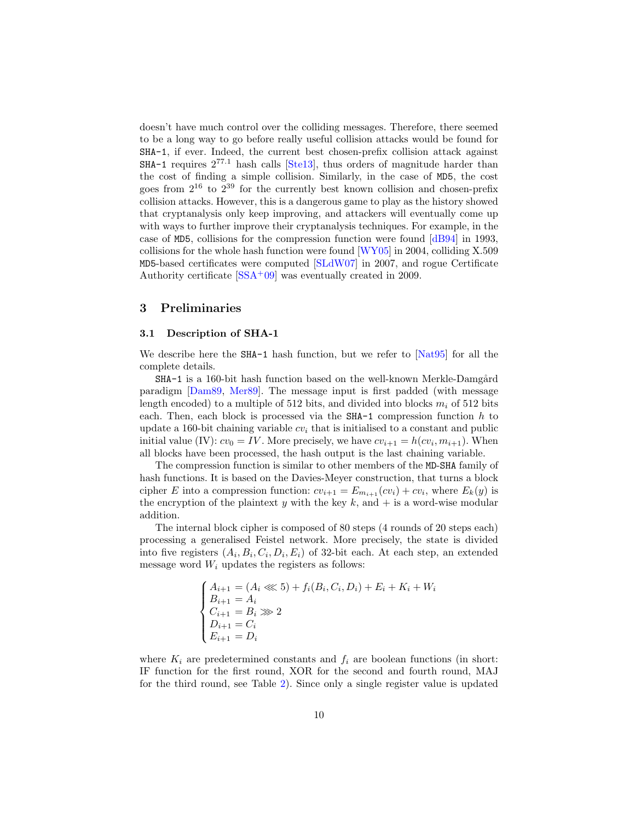doesn't have much control over the colliding messages. Therefore, there seemed to be a long way to go before really useful collision attacks would be found for SHA-1, if ever. Indeed, the current best chosen-prefix collision attack against  $SHA-1$  requires  $2^{77.1}$  hash calls  $[Ste13]$ , thus orders of magnitude harder than the cost of finding a simple collision. Similarly, in the case of MD5, the cost goes from  $2^{16}$  to  $2^{39}$  for the currently best known collision and chosen-prefix collision attacks. However, this is a dangerous game to play as the history showed that cryptanalysis only keep improving, and attackers will eventually come up with ways to further improve their cryptanalysis techniques. For example, in the case of MD5, collisions for the compression function were found [\[dB94\]](#page-28-14) in 1993, collisions for the whole hash function were found [\[WY05\]](#page-29-4) in 2004, colliding X.509 MD5-based certificates were computed [\[SLdW07\]](#page-29-0) in 2007, and rogue Certificate Authority certificate  $[SSA+09]$  $[SSA+09]$  was eventually created in 2009.

### <span id="page-9-0"></span>3 Preliminaries

#### 3.1 Description of SHA-1

We describe here the SHA-1 hash function, but we refer to  $[Nat95]$  for all the complete details.

SHA-1 is a 160-bit hash function based on the well-known Merkle-Damgård paradigm [\[Dam89,](#page-27-4) [Mer89\]](#page-28-15). The message input is first padded (with message length encoded) to a multiple of 512 bits, and divided into blocks  $m_i$  of 512 bits each. Then, each block is processed via the  $SHA-1$  compression function h to update a 160-bit chaining variable  $cv_i$  that is initialised to a constant and public initial value (IV):  $cv_0 = IV$ . More precisely, we have  $cv_{i+1} = h(cv_i, m_{i+1})$ . When all blocks have been processed, the hash output is the last chaining variable.

The compression function is similar to other members of the MD-SHA family of hash functions. It is based on the Davies-Meyer construction, that turns a block cipher E into a compression function:  $cv_{i+1} = E_{m_{i+1}}(cv_i) + cv_i$ , where  $E_k(y)$  is the encryption of the plaintext y with the key k, and  $+$  is a word-wise modular addition.

The internal block cipher is composed of 80 steps (4 rounds of 20 steps each) processing a generalised Feistel network. More precisely, the state is divided into five registers  $(A_i, B_i, C_i, D_i, E_i)$  of 32-bit each. At each step, an extended message word  $W_i$  updates the registers as follows:

$$
\begin{cases}\nA_{i+1} = (A_i \lll 5) + f_i(B_i, C_i, D_i) + E_i + K_i + W_i \\
B_{i+1} = A_i \\
C_{i+1} = B_i \ggg 2 \\
D_{i+1} = C_i \\
E_{i+1} = D_i\n\end{cases}
$$

where  $K_i$  are predetermined constants and  $f_i$  are boolean functions (in short: IF function for the first round, XOR for the second and fourth round, MAJ for the third round, see Table [2\)](#page-10-0). Since only a single register value is updated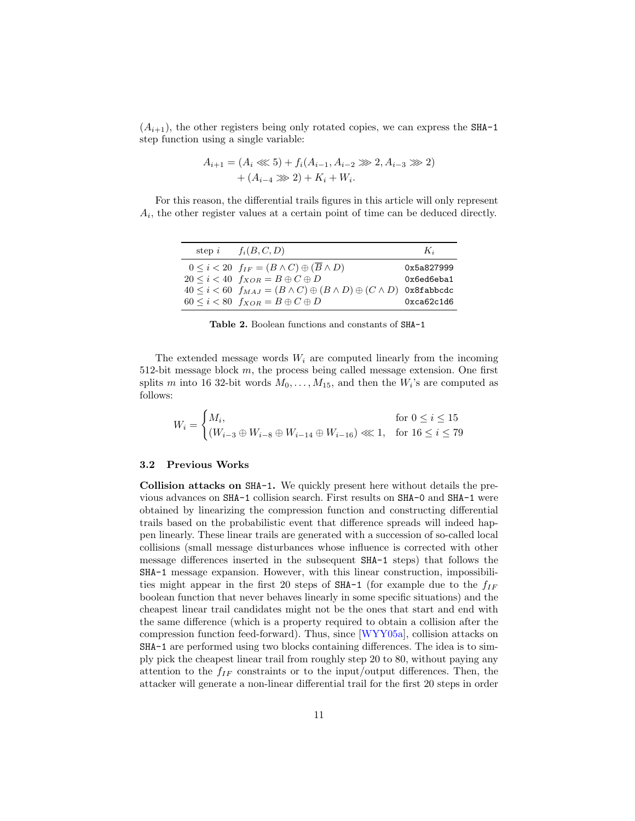$(A_{i+1})$ , the other registers being only rotated copies, we can express the SHA-1 step function using a single variable:

$$
A_{i+1} = (A_i \ll 5) + f_i(A_{i-1}, A_{i-2} \gg 2, A_{i-3} \gg 2)
$$
  
+  $(A_{i-4} \gg 2) + K_i + W_i.$ 

For this reason, the differential trails figures in this article will only represent  $A_i$ , the other register values at a certain point of time can be deduced directly.

| step $i$ | $f_i(B,C,D)$                                                                                 | $K_i$      |
|----------|----------------------------------------------------------------------------------------------|------------|
|          | $0 \leq i < 20$ $f_{IF} = (B \wedge C) \oplus (\overline{B} \wedge D)$                       | 0x5a827999 |
|          | $20 \leq i < 40$ $f_{XOR} = B \oplus C \oplus D$                                             | 0x6ed6eba1 |
|          | $40 \leq i < 60$ $f_{MAJ} = (B \wedge C) \oplus (B \wedge D) \oplus (C \wedge D)$ 0x8fabbcdc |            |
|          | $60 \leq i \leq 80$ $f_{XOR} = B \oplus C \oplus D$                                          | 0xca62c1d6 |

<span id="page-10-0"></span>Table 2. Boolean functions and constants of SHA-1

The extended message words  $W_i$  are computed linearly from the incoming 512-bit message block  $m$ , the process being called message extension. One first splits m into 16 32-bit words  $M_0, \ldots, M_{15}$ , and then the  $W_i$ 's are computed as follows:

$$
W_i = \begin{cases} M_i, & \text{for } 0 \le i \le 15\\ (W_{i-3} \oplus W_{i-8} \oplus W_{i-14} \oplus W_{i-16}) \lll 1, & \text{for } 16 \le i \le 79 \end{cases}
$$

#### 3.2 Previous Works

Collision attacks on SHA-1. We quickly present here without details the previous advances on SHA-1 collision search. First results on SHA-0 and SHA-1 were obtained by linearizing the compression function and constructing differential trails based on the probabilistic event that difference spreads will indeed happen linearly. These linear trails are generated with a succession of so-called local collisions (small message disturbances whose influence is corrected with other message differences inserted in the subsequent SHA-1 steps) that follows the SHA-1 message expansion. However, with this linear construction, impossibilities might appear in the first 20 steps of SHA-1 (for example due to the  $f_{IF}$ boolean function that never behaves linearly in some specific situations) and the cheapest linear trail candidates might not be the ones that start and end with the same difference (which is a property required to obtain a collision after the compression function feed-forward). Thus, since [\[WYY05a\]](#page-29-6), collision attacks on SHA-1 are performed using two blocks containing differences. The idea is to simply pick the cheapest linear trail from roughly step 20 to 80, without paying any attention to the  $f_{IF}$  constraints or to the input/output differences. Then, the attacker will generate a non-linear differential trail for the first 20 steps in order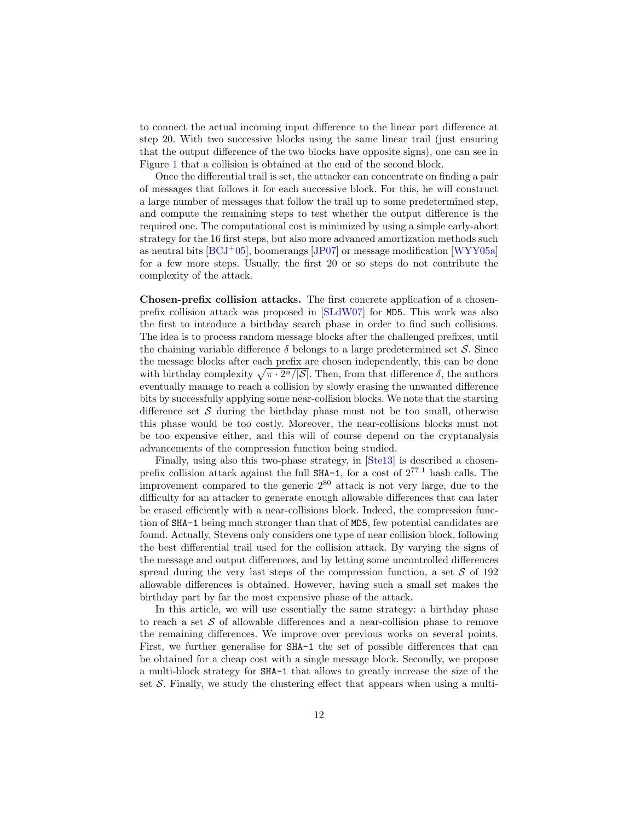to connect the actual incoming input difference to the linear part difference at step 20. With two successive blocks using the same linear trail (just ensuring that the output difference of the two blocks have opposite signs), one can see in Figure [1](#page-4-0) that a collision is obtained at the end of the second block.

Once the differential trail is set, the attacker can concentrate on finding a pair of messages that follows it for each successive block. For this, he will construct a large number of messages that follow the trail up to some predetermined step, and compute the remaining steps to test whether the output difference is the required one. The computational cost is minimized by using a simple early-abort strategy for the 16 first steps, but also more advanced amortization methods such as neutral bits  $[BCJ+05]$  $[BCJ+05]$ , boomerangs  $[JP07]$  or message modification  $[WYY05a]$ for a few more steps. Usually, the first 20 or so steps do not contribute the complexity of the attack.

Chosen-prefix collision attacks. The first concrete application of a chosenprefix collision attack was proposed in [\[SLdW07\]](#page-29-0) for MD5. This work was also the first to introduce a birthday search phase in order to find such collisions. The idea is to process random message blocks after the challenged prefixes, until the chaining variable difference  $\delta$  belongs to a large predetermined set S. Since the message blocks after each prefix are chosen independently, this can be done with birthday complexity  $\sqrt{\pi \cdot 2^{n}/|\mathcal{S}|}$ . Then, from that difference  $\delta$ , the authors eventually manage to reach a collision by slowly erasing the unwanted difference bits by successfully applying some near-collision blocks. We note that the starting difference set  $S$  during the birthday phase must not be too small, otherwise this phase would be too costly. Moreover, the near-collisions blocks must not be too expensive either, and this will of course depend on the cryptanalysis advancements of the compression function being studied.

Finally, using also this two-phase strategy, in [\[Ste13\]](#page-29-9) is described a chosenprefix collision attack against the full  $SHA-1$ , for a cost of  $2^{77.1}$  hash calls. The improvement compared to the generic  $2^{80}$  attack is not very large, due to the difficulty for an attacker to generate enough allowable differences that can later be erased efficiently with a near-collisions block. Indeed, the compression function of SHA-1 being much stronger than that of MD5, few potential candidates are found. Actually, Stevens only considers one type of near collision block, following the best differential trail used for the collision attack. By varying the signs of the message and output differences, and by letting some uncontrolled differences spread during the very last steps of the compression function, a set  $S$  of 192 allowable differences is obtained. However, having such a small set makes the birthday part by far the most expensive phase of the attack.

In this article, we will use essentially the same strategy: a birthday phase to reach a set  $S$  of allowable differences and a near-collision phase to remove the remaining differences. We improve over previous works on several points. First, we further generalise for SHA-1 the set of possible differences that can be obtained for a cheap cost with a single message block. Secondly, we propose a multi-block strategy for SHA-1 that allows to greatly increase the size of the set  $S$ . Finally, we study the clustering effect that appears when using a multi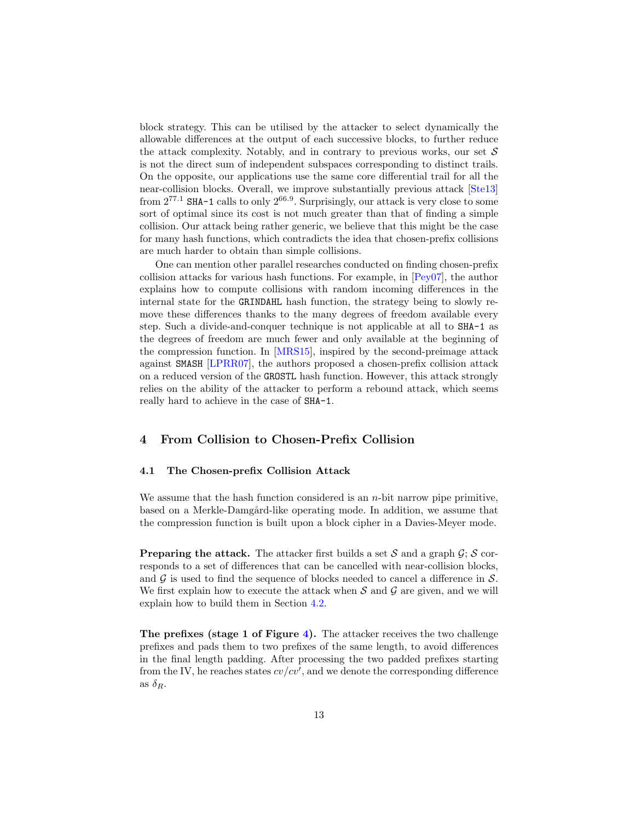block strategy. This can be utilised by the attacker to select dynamically the allowable differences at the output of each successive blocks, to further reduce the attack complexity. Notably, and in contrary to previous works, our set  $\mathcal S$ is not the direct sum of independent subspaces corresponding to distinct trails. On the opposite, our applications use the same core differential trail for all the near-collision blocks. Overall, we improve substantially previous attack [\[Ste13\]](#page-29-9) from  $2^{77.1}$  SHA-1 calls to only  $2^{66.9}$ . Surprisingly, our attack is very close to some sort of optimal since its cost is not much greater than that of finding a simple collision. Our attack being rather generic, we believe that this might be the case for many hash functions, which contradicts the idea that chosen-prefix collisions are much harder to obtain than simple collisions.

One can mention other parallel researches conducted on finding chosen-prefix collision attacks for various hash functions. For example, in [\[Pey07\]](#page-28-12), the author explains how to compute collisions with random incoming differences in the internal state for the GRINDAHL hash function, the strategy being to slowly remove these differences thanks to the many degrees of freedom available every step. Such a divide-and-conquer technique is not applicable at all to SHA-1 as the degrees of freedom are much fewer and only available at the beginning of the compression function. In [\[MRS15\]](#page-28-13), inspired by the second-preimage attack against SMASH [\[LPRR07\]](#page-28-11), the authors proposed a chosen-prefix collision attack on a reduced version of the GROSTL hash function. However, this attack strongly relies on the ability of the attacker to perform a rebound attack, which seems really hard to achieve in the case of SHA-1.

# <span id="page-12-0"></span>4 From Collision to Chosen-Prefix Collision

### 4.1 The Chosen-prefix Collision Attack

We assume that the hash function considered is an  $n$ -bit narrow pipe primitive, based on a Merkle-Damgård-like operating mode. In addition, we assume that the compression function is built upon a block cipher in a Davies-Meyer mode.

**Preparing the attack.** The attacker first builds a set S and a graph  $\mathcal{G}$ ; S corresponds to a set of differences that can be cancelled with near-collision blocks, and  $\mathcal G$  is used to find the sequence of blocks needed to cancel a difference in  $\mathcal S$ . We first explain how to execute the attack when  $S$  and  $G$  are given, and we will explain how to build them in Section [4.2.](#page-15-0)

The prefixes (stage 1 of Figure [4\)](#page-13-0). The attacker receives the two challenge prefixes and pads them to two prefixes of the same length, to avoid differences in the final length padding. After processing the two padded prefixes starting from the IV, he reaches states  $cv/cv'$ , and we denote the corresponding difference as  $\delta_R$ .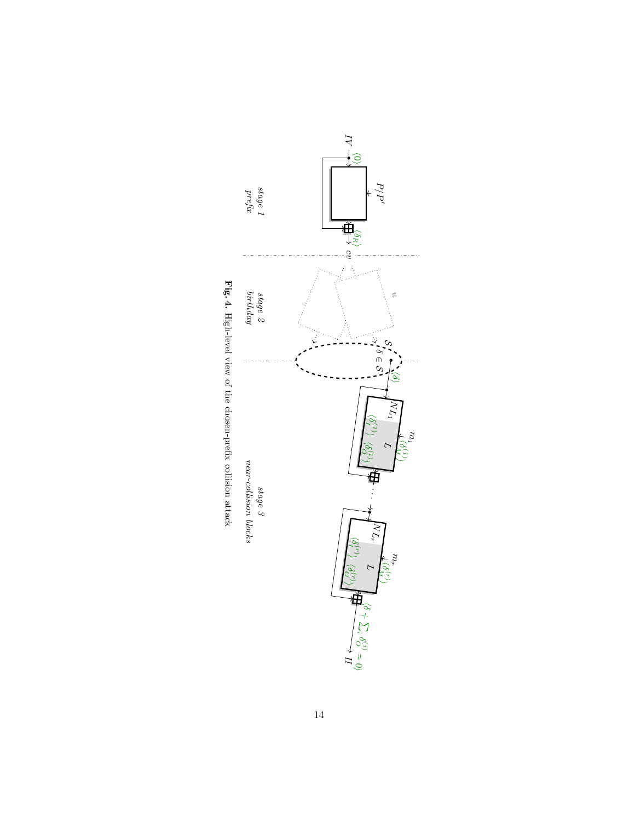<span id="page-13-0"></span>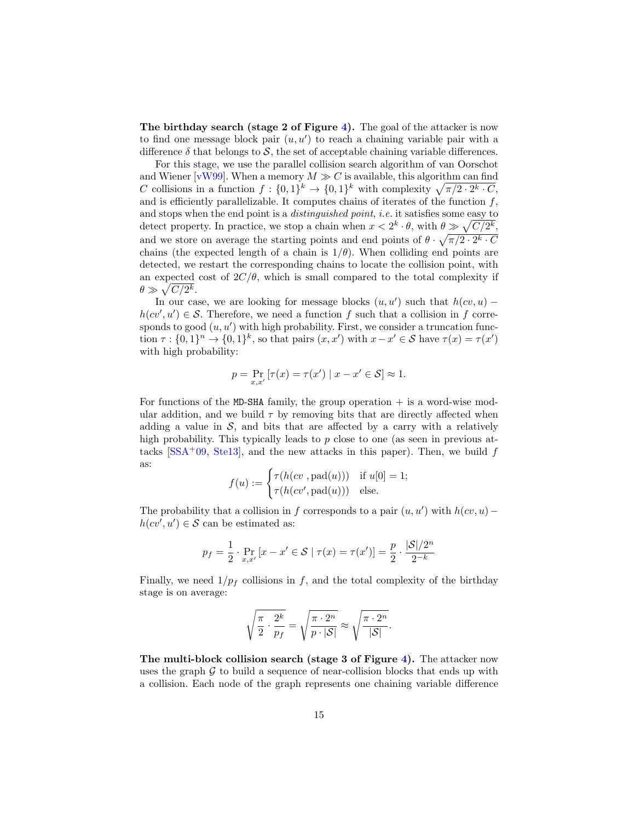The birthday search (stage 2 of Figure [4\)](#page-13-0). The goal of the attacker is now to find one message block pair  $(u, u')$  to reach a chaining variable pair with a difference  $\delta$  that belongs to  $\mathcal{S}$ , the set of acceptable chaining variable differences.

For this stage, we use the parallel collision search algorithm of van Oorschot and Wiener [\[vW99\]](#page-29-10). When a memory  $M \gg C$  is available, this algorithm can find C collisions in a function  $f: \{0,1\}^k \to \{0,1\}^k$  with complexity  $\sqrt{\pi/2 \cdot 2^k \cdot C}$ , and is efficiently parallelizable. It computes chains of iterates of the function  $f$ , and stops when the end point is a *distinguished point, i.e.* it satisfies some easy to detect property. In practice, we stop a chain when  $x < 2^k \cdot \theta$ , with  $\theta \gg \sqrt{C/2^k}$ , and we store on average the starting points and end points of  $\theta \cdot \sqrt{\pi/2 \cdot 2^k \cdot C}$ chains (the expected length of a chain is  $1/\theta$ ). When colliding end points are detected, we restart the corresponding chains to locate the collision point, with an expected cost of  $2C/\theta$ , which is small compared to the total complexity if  $\theta \gg \sqrt{C/2^k}.$ 

In our case, we are looking for message blocks  $(u, u')$  such that  $h(cv, u)$  –  $h(cv', u') \in \mathcal{S}$ . Therefore, we need a function f such that a collision in f corresponds to good  $(u, u')$  with high probability. First, we consider a truncation function  $\tau: \{0,1\}^n \to \{0,1\}^k$ , so that pairs  $(x, x')$  with  $x - x' \in \mathcal{S}$  have  $\tau(x) = \tau(x')$ with high probability:

$$
p = \Pr_{x,x'} [\tau(x) = \tau(x') \mid x - x' \in \mathcal{S}] \approx 1.
$$

For functions of the MD-SHA family, the group operation  $+$  is a word-wise modular addition, and we build  $\tau$  by removing bits that are directly affected when adding a value in  $\mathcal{S}$ , and bits that are affected by a carry with a relatively high probability. This typically leads to p close to one (as seen in previous attacks  $[SSA<sup>+</sup>09, Ste13]$  $[SSA<sup>+</sup>09, Ste13]$  $[SSA<sup>+</sup>09, Ste13]$ , and the new attacks in this paper). Then, we build f as:

$$
f(u) := \begin{cases} \tau(h(cv, pad(u))) & \text{if } u[0] = 1; \\ \tau(h(cv', pad(u))) & \text{else.} \end{cases}
$$

The probability that a collision in f corresponds to a pair  $(u, u')$  with  $h(cv, u)$  $h(cv', u') \in \mathcal{S}$  can be estimated as:

$$
p_f = \frac{1}{2} \cdot \Pr_{x,x'}[x - x' \in \mathcal{S} \mid \tau(x) = \tau(x')] = \frac{p}{2} \cdot \frac{|\mathcal{S}|/2^n}{2^{-k}}
$$

Finally, we need  $1/p_f$  collisions in f, and the total complexity of the birthday stage is on average:

$$
\sqrt{\frac{\pi}{2} \cdot \frac{2^k}{p_f}} = \sqrt{\frac{\pi \cdot 2^n}{p \cdot |\mathcal{S}|}} \approx \sqrt{\frac{\pi \cdot 2^n}{|\mathcal{S}|}}.
$$

The multi-block collision search (stage 3 of Figure [4\)](#page-13-0). The attacker now uses the graph  $G$  to build a sequence of near-collision blocks that ends up with a collision. Each node of the graph represents one chaining variable difference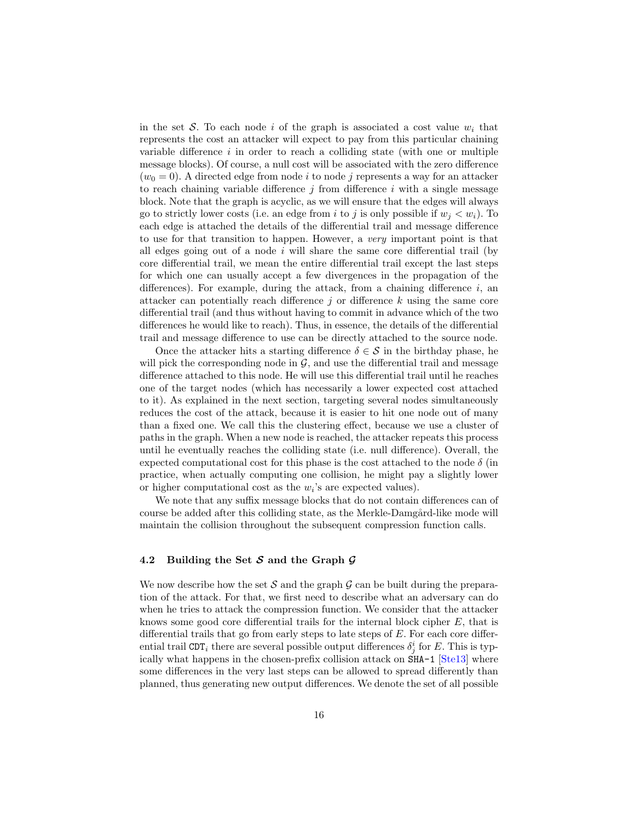in the set  $S$ . To each node i of the graph is associated a cost value  $w_i$  that represents the cost an attacker will expect to pay from this particular chaining variable difference  $i$  in order to reach a colliding state (with one or multiple message blocks). Of course, a null cost will be associated with the zero difference  $(w_0 = 0)$ . A directed edge from node *i* to node *j* represents a way for an attacker to reach chaining variable difference  $j$  from difference  $i$  with a single message block. Note that the graph is acyclic, as we will ensure that the edges will always go to strictly lower costs (i.e. an edge from i to j is only possible if  $w_i < w_i$ ). To each edge is attached the details of the differential trail and message difference to use for that transition to happen. However, a very important point is that all edges going out of a node  $i$  will share the same core differential trail (by core differential trail, we mean the entire differential trail except the last steps for which one can usually accept a few divergences in the propagation of the differences). For example, during the attack, from a chaining difference  $i$ , an attacker can potentially reach difference  $j$  or difference  $k$  using the same core differential trail (and thus without having to commit in advance which of the two differences he would like to reach). Thus, in essence, the details of the differential trail and message difference to use can be directly attached to the source node.

Once the attacker hits a starting difference  $\delta \in \mathcal{S}$  in the birthday phase, he will pick the corresponding node in  $\mathcal{G}$ , and use the differential trail and message difference attached to this node. He will use this differential trail until he reaches one of the target nodes (which has necessarily a lower expected cost attached to it). As explained in the next section, targeting several nodes simultaneously reduces the cost of the attack, because it is easier to hit one node out of many than a fixed one. We call this the clustering effect, because we use a cluster of paths in the graph. When a new node is reached, the attacker repeats this process until he eventually reaches the colliding state (i.e. null difference). Overall, the expected computational cost for this phase is the cost attached to the node  $\delta$  (in practice, when actually computing one collision, he might pay a slightly lower or higher computational cost as the  $w_i$ 's are expected values).

We note that any suffix message blocks that do not contain differences can of course be added after this colliding state, as the Merkle-Damgård-like mode will maintain the collision throughout the subsequent compression function calls.

### <span id="page-15-0"></span>4.2 Building the Set  $S$  and the Graph  $\mathcal G$

We now describe how the set S and the graph  $\mathcal G$  can be built during the preparation of the attack. For that, we first need to describe what an adversary can do when he tries to attack the compression function. We consider that the attacker knows some good core differential trails for the internal block cipher  $E$ , that is differential trails that go from early steps to late steps of  $E$ . For each core differential trail CDT<sub>i</sub> there are several possible output differences  $\delta_j^i$  for E. This is typically what happens in the chosen-prefix collision attack on SHA-1 [\[Ste13\]](#page-29-9) where some differences in the very last steps can be allowed to spread differently than planned, thus generating new output differences. We denote the set of all possible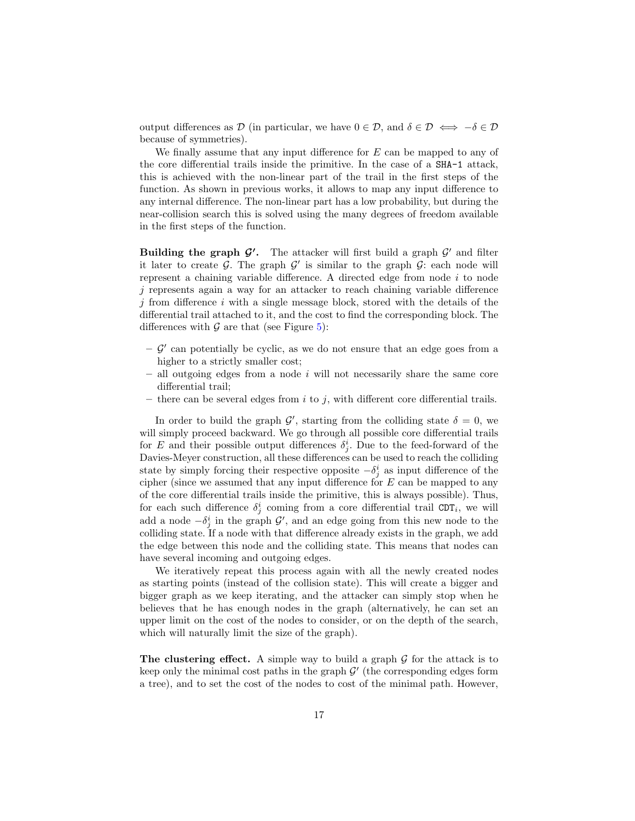output differences as D (in particular, we have  $0 \in \mathcal{D}$ , and  $\delta \in \mathcal{D} \iff -\delta \in \mathcal{D}$ because of symmetries).

We finally assume that any input difference for  $E$  can be mapped to any of the core differential trails inside the primitive. In the case of a SHA-1 attack, this is achieved with the non-linear part of the trail in the first steps of the function. As shown in previous works, it allows to map any input difference to any internal difference. The non-linear part has a low probability, but during the near-collision search this is solved using the many degrees of freedom available in the first steps of the function.

Building the graph  $\mathcal{G}'$ . The attacker will first build a graph  $\mathcal{G}'$  and filter it later to create  $\mathcal{G}$ . The graph  $\mathcal{G}'$  is similar to the graph  $\mathcal{G}$ : each node will represent a chaining variable difference. A directed edge from node i to node  $j$  represents again a way for an attacker to reach chaining variable difference  $j$  from difference  $i$  with a single message block, stored with the details of the differential trail attached to it, and the cost to find the corresponding block. The differences with  $G$  are that (see Figure [5\)](#page-17-0):

- $-\mathcal{G}'$  can potentially be cyclic, as we do not ensure that an edge goes from a higher to a strictly smaller cost;
- $-$  all outgoing edges from a node i will not necessarily share the same core differential trail;
- there can be several edges from  $i$  to  $j$ , with different core differential trails.

In order to build the graph  $\mathcal{G}'$ , starting from the colliding state  $\delta = 0$ , we will simply proceed backward. We go through all possible core differential trails for E and their possible output differences  $\delta_j^i$ . Due to the feed-forward of the Davies-Meyer construction, all these differences can be used to reach the colliding state by simply forcing their respective opposite  $-\delta_j^i$  as input difference of the cipher (since we assumed that any input difference for  $E$  can be mapped to any of the core differential trails inside the primitive, this is always possible). Thus, for each such difference  $\delta_j^i$  coming from a core differential trail CDT<sub>i</sub>, we will add a node  $-\delta_j^i$  in the graph  $\mathcal{G}'$ , and an edge going from this new node to the colliding state. If a node with that difference already exists in the graph, we add the edge between this node and the colliding state. This means that nodes can have several incoming and outgoing edges.

We iteratively repeat this process again with all the newly created nodes as starting points (instead of the collision state). This will create a bigger and bigger graph as we keep iterating, and the attacker can simply stop when he believes that he has enough nodes in the graph (alternatively, he can set an upper limit on the cost of the nodes to consider, or on the depth of the search, which will naturally limit the size of the graph).

The clustering effect. A simple way to build a graph  $\mathcal G$  for the attack is to keep only the minimal cost paths in the graph  $\mathcal{G}'$  (the corresponding edges form a tree), and to set the cost of the nodes to cost of the minimal path. However,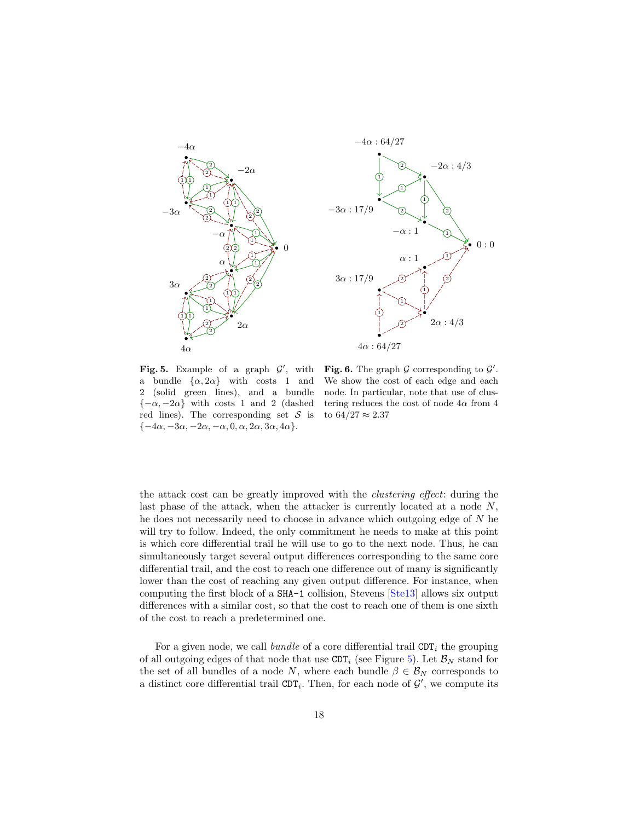

<span id="page-17-0"></span>Fig. 5. Example of a graph  $\mathcal{G}'$ , with a bundle  $\{\alpha, 2\alpha\}$  with costs 1 and 2 (solid green lines), and a bundle  ${-\alpha, -2\alpha}$  with costs 1 and 2 (dashed red lines). The corresponding set  $S$  is  $\{-4\alpha, -3\alpha, -2\alpha, -\alpha, 0, \alpha, 2\alpha, 3\alpha, 4\alpha\}.$ 

Fig. 6. The graph  $G$  corresponding to  $G'$ . We show the cost of each edge and each node. In particular, note that use of clustering reduces the cost of node  $4\alpha$  from 4 to 64/27  $\approx 2.37$ 

the attack cost can be greatly improved with the clustering effect: during the last phase of the attack, when the attacker is currently located at a node N, he does not necessarily need to choose in advance which outgoing edge of N he will try to follow. Indeed, the only commitment he needs to make at this point is which core differential trail he will use to go to the next node. Thus, he can simultaneously target several output differences corresponding to the same core differential trail, and the cost to reach one difference out of many is significantly lower than the cost of reaching any given output difference. For instance, when computing the first block of a SHA-1 collision, Stevens [\[Ste13\]](#page-29-9) allows six output differences with a similar cost, so that the cost to reach one of them is one sixth of the cost to reach a predetermined one.

For a given node, we call *bundle* of a core differential trail  $CDT_i$  the grouping of all outgoing edges of that node that use  $CDT_i$  (see Figure [5\)](#page-17-0). Let  $\mathcal{B}_N$  stand for the set of all bundles of a node N, where each bundle  $\beta \in \mathcal{B}_N$  corresponds to a distinct core differential trail  $CDT_i$ . Then, for each node of  $\mathcal{G}'$ , we compute its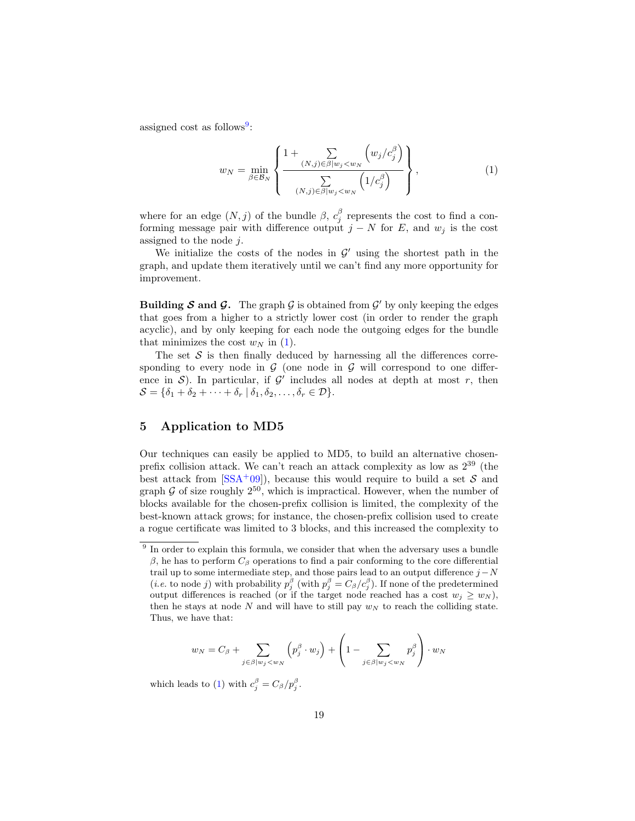assigned cost as follows<sup>[9](#page-18-1)</sup>:

<span id="page-18-2"></span>
$$
w_N = \min_{\beta \in \mathcal{B}_N} \left\{ \frac{1 + \sum_{(N,j) \in \beta | w_j < w_N} \left( w_j / c_j^{\beta} \right)}{\sum_{(N,j) \in \beta | w_j < w_N} \left( 1 / c_j^{\beta} \right)} \right\},\tag{1}
$$

where for an edge  $(N, j)$  of the bundle  $\beta$ ,  $c_j^{\beta}$  represents the cost to find a conforming message pair with difference output  $j - N$  for E, and  $w_j$  is the cost assigned to the node  $j$ .

We initialize the costs of the nodes in  $\mathcal{G}'$  using the shortest path in the graph, and update them iteratively until we can't find any more opportunity for improvement.

**Building S and G.** The graph G is obtained from  $\mathcal{G}'$  by only keeping the edges that goes from a higher to a strictly lower cost (in order to render the graph acyclic), and by only keeping for each node the outgoing edges for the bundle that minimizes the cost  $w_N$  in [\(1\)](#page-18-2).

The set  $S$  is then finally deduced by harnessing all the differences corresponding to every node in  $G$  (one node in  $G$  will correspond to one difference in  $\mathcal{S}$ ). In particular, if  $\mathcal{G}'$  includes all nodes at depth at most r, then  $\mathcal{S} = \{\delta_1 + \delta_2 + \cdots + \delta_r \mid \delta_1, \delta_2, \ldots, \delta_r \in \mathcal{D}\}.$ 

# <span id="page-18-0"></span>5 Application to MD5

Our techniques can easily be applied to MD5, to build an alternative chosenprefix collision attack. We can't reach an attack complexity as low as  $2^{39}$  (the best attack from  $[SSA+09]$  $[SSA+09]$ , because this would require to build a set S and graph G of size roughly  $2^{50}$ , which is impractical. However, when the number of blocks available for the chosen-prefix collision is limited, the complexity of the best-known attack grows; for instance, the chosen-prefix collision used to create a rogue certificate was limited to 3 blocks, and this increased the complexity to

$$
w_N = C_{\beta} + \sum_{j \in \beta | w_j < w_N} \left( p_j^{\beta} \cdot w_j \right) + \left( 1 - \sum_{j \in \beta | w_j < w_N} p_j^{\beta} \right) \cdot w_N
$$

which leads to [\(1\)](#page-18-2) with  $c_j^{\beta} = C_{\beta}/p_j^{\beta}$ .

<span id="page-18-1"></span><sup>&</sup>lt;sup>9</sup> In order to explain this formula, we consider that when the adversary uses a bundle β, he has to perform  $C_β$  operations to find a pair conforming to the core differential trail up to some intermediate step, and those pairs lead to an output difference  $j-N$ (*i.e.* to node *j*) with probability  $p_j^{\beta}$  (with  $p_j^{\beta} = C_{\beta}/c_j^{\beta}$ ). If none of the predetermined output differences is reached (or if the target node reached has a cost  $w_j \geq w_N$ ), then he stays at node N and will have to still pay  $w_N$  to reach the colliding state. Thus, we have that: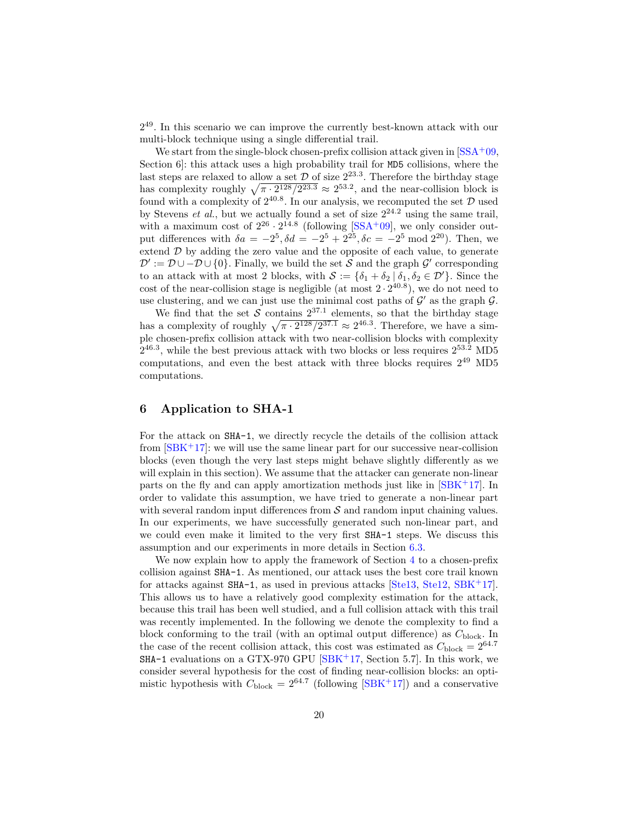2 <sup>49</sup>. In this scenario we can improve the currently best-known attack with our multi-block technique using a single differential trail.

We start from the single-block chosen-prefix collision attack given in  $[SSA<sup>+</sup>09]$  $[SSA<sup>+</sup>09]$ , Section 6]: this attack uses a high probability trail for MD5 collisions, where the last steps are relaxed to allow a set  $D$  of size  $2^{23.3}$ . Therefore the birthday stage has complexity roughly  $\sqrt{\pi \cdot 2^{128}/2^{23.3}} \approx 2^{53.2}$ , and the near-collision block is found with a complexity of  $2^{40.8}$ . In our analysis, we recomputed the set  $D$  used by Stevens *et al.*, but we actually found a set of size  $2^{24.2}$  using the same trail, with a maximum cost of  $2^{26} \cdot 2^{14.8}$  (following  $[SSA<sup>+</sup>09]$  $[SSA<sup>+</sup>09]$ , we only consider output differences with  $\delta a = -2^5$ ,  $\delta d = -2^5 + 2^{25}$ ,  $\delta c = -2^5$  mod  $2^{20}$ ). Then, we extend  $D$  by adding the zero value and the opposite of each value, to generate  $\mathcal{D}' := \mathcal{D} \cup -\mathcal{D} \cup \{0\}.$  Finally, we build the set S and the graph  $\mathcal{G}'$  corresponding to an attack with at most 2 blocks, with  $S := {\delta_1 + \delta_2 \mid \delta_1, \delta_2 \in \mathcal{D}' }$ . Since the cost of the near-collision stage is negligible (at most  $2 \cdot 2^{40.8}$ ), we do not need to use clustering, and we can just use the minimal cost paths of  $\mathcal{G}'$  as the graph  $\mathcal{G}$ .

We find that the set S contains  $2^{37.1}$  elements, so that the birthday stage has a complexity of roughly  $\sqrt{\pi \cdot 2^{128}/2^{37.1}} \approx 2^{46.3}$ . Therefore, we have a simple chosen-prefix collision attack with two near-collision blocks with complexity  $2^{46.3}$ , while the best previous attack with two blocks or less requires  $2^{53.2}$  MD5 computations, and even the best attack with three blocks requires  $2^{49}$  MD5 computations.

# <span id="page-19-0"></span>6 Application to SHA-1

For the attack on SHA-1, we directly recycle the details of the collision attack from [\[SBK](#page-29-8)+17]: we will use the same linear part for our successive near-collision blocks (even though the very last steps might behave slightly differently as we will explain in this section). We assume that the attacker can generate non-linear parts on the fly and can apply amortization methods just like in  $[SBK^+17]$  $[SBK^+17]$ . In order to validate this assumption, we have tried to generate a non-linear part with several random input differences from  $S$  and random input chaining values. In our experiments, we have successfully generated such non-linear part, and we could even make it limited to the very first SHA-1 steps. We discuss this assumption and our experiments in more details in Section [6.3.](#page-25-0)

We now explain how to apply the framework of Section [4](#page-12-0) to a chosen-prefix collision against SHA-1. As mentioned, our attack uses the best core trail known for attacks against  $SHA-1$ , as used in previous attacks  $[Ste13, Ste12, SBK+17]$  $[Ste13, Ste12, SBK+17]$  $[Ste13, Ste12, SBK+17]$  $[Ste13, Ste12, SBK+17]$  $[Ste13, Ste12, SBK+17]$  $[Ste13, Ste12, SBK+17]$ . This allows us to have a relatively good complexity estimation for the attack, because this trail has been well studied, and a full collision attack with this trail was recently implemented. In the following we denote the complexity to find a block conforming to the trail (with an optimal output difference) as  $C_{\text{block}}$ . In the case of the recent collision attack, this cost was estimated as  $C_{\text{block}} = 2^{64.7}$  $SHA-1$  evaluations on a GTX-970 GPU  $[SBK+17, Section 5.7]$  $[SBK+17, Section 5.7]$ . In this work, we consider several hypothesis for the cost of finding near-collision blocks: an optimistic hypothesis with  $C_{\text{block}} = 2^{64.7}$  (following [\[SBK](#page-29-8)<sup>+</sup>17]) and a conservative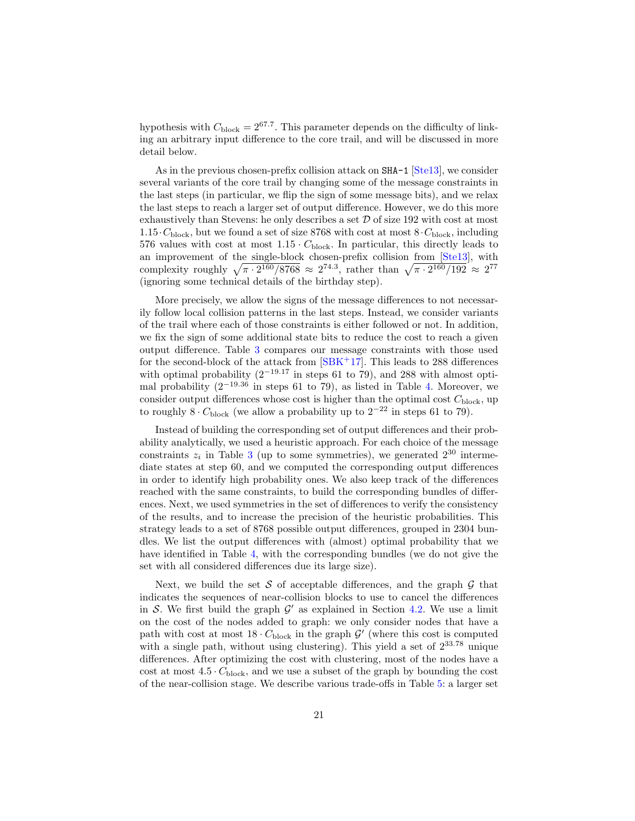hypothesis with  $C_{\text{block}} = 2^{67.7}$ . This parameter depends on the difficulty of linking an arbitrary input difference to the core trail, and will be discussed in more detail below.

As in the previous chosen-prefix collision attack on SHA-1 [\[Ste13\]](#page-29-9), we consider several variants of the core trail by changing some of the message constraints in the last steps (in particular, we flip the sign of some message bits), and we relax the last steps to reach a larger set of output difference. However, we do this more exhaustively than Stevens: he only describes a set  $D$  of size 192 with cost at most  $1.15 \cdot C_{\rm block}$ , but we found a set of size 8768 with cost at most  $8 \cdot C_{\rm block}$ , including 576 values with cost at most  $1.15 \cdot C_{\rm block}$ . In particular, this directly leads to an improvement of the single-block chosen-prefix collision from [\[Ste13\]](#page-29-9), with complexity roughly  $\sqrt{\pi \cdot 2^{160}/8768} \approx 2^{74.3}$ , rather than  $\sqrt{\pi \cdot 2^{160}/192} \approx 2^{77}$ (ignoring some technical details of the birthday step).

More precisely, we allow the signs of the message differences to not necessarily follow local collision patterns in the last steps. Instead, we consider variants of the trail where each of those constraints is either followed or not. In addition, we fix the sign of some additional state bits to reduce the cost to reach a given output difference. Table [3](#page-21-0) compares our message constraints with those used for the second-block of the attack from  $[SBK^+17]$  $[SBK^+17]$ . This leads to 288 differences with optimal probability  $(2^{-19.17}$  in steps 61 to 79), and 288 with almost optimal probability  $(2^{-19.36}$  in steps 61 to 79), as listed in Table [4.](#page-22-0) Moreover, we consider output differences whose cost is higher than the optimal cost  $C_{\text{block}}$ , up to roughly  $8 \cdot C_{\rm block}$  (we allow a probability up to  $2^{-22}$  in steps 61 to 79).

Instead of building the corresponding set of output differences and their probability analytically, we used a heuristic approach. For each choice of the message constraints  $z_i$  in Table [3](#page-21-0) (up to some symmetries), we generated  $2^{30}$  intermediate states at step 60, and we computed the corresponding output differences in order to identify high probability ones. We also keep track of the differences reached with the same constraints, to build the corresponding bundles of differences. Next, we used symmetries in the set of differences to verify the consistency of the results, and to increase the precision of the heuristic probabilities. This strategy leads to a set of 8768 possible output differences, grouped in 2304 bundles. We list the output differences with (almost) optimal probability that we have identified in Table [4,](#page-22-0) with the corresponding bundles (we do not give the set with all considered differences due its large size).

Next, we build the set S of acceptable differences, and the graph  $G$  that indicates the sequences of near-collision blocks to use to cancel the differences in S. We first build the graph  $\mathcal{G}'$  as explained in Section [4.2.](#page-15-0) We use a limit on the cost of the nodes added to graph: we only consider nodes that have a path with cost at most  $18 \cdot C_{\rm block}$  in the graph  $\mathcal{G}'$  (where this cost is computed with a single path, without using clustering). This yield a set of  $2^{33.78}$  unique differences. After optimizing the cost with clustering, most of the nodes have a cost at most  $4.5 \cdot C_{\rm block}$ , and we use a subset of the graph by bounding the cost of the near-collision stage. We describe various trade-offs in Table [5:](#page-24-0) a larger set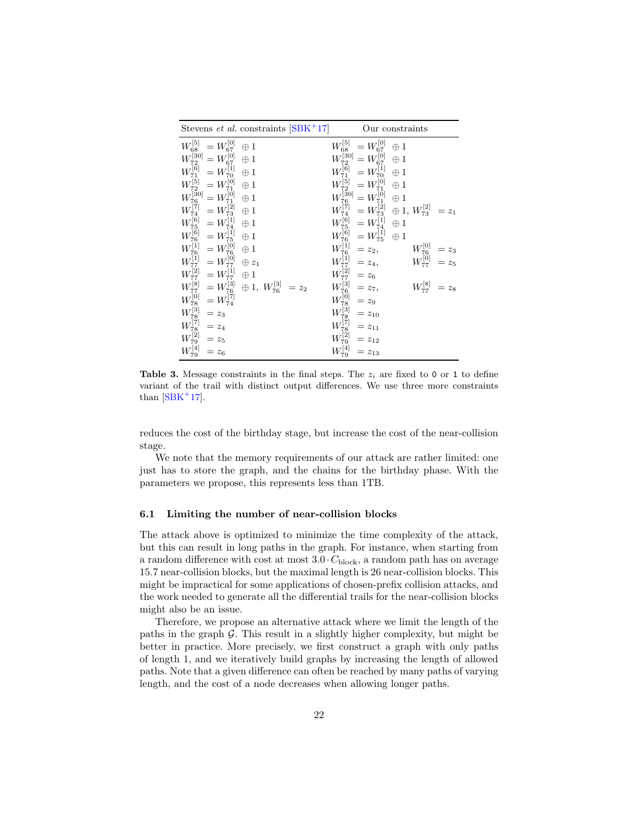|                                         | Stevens <i>et al.</i> constraints $ SBK^+17 $ Our constraints                                                                                                                                                                                                                                                                                         |                                                                                                                          |                                                                            |
|-----------------------------------------|-------------------------------------------------------------------------------------------------------------------------------------------------------------------------------------------------------------------------------------------------------------------------------------------------------------------------------------------------------|--------------------------------------------------------------------------------------------------------------------------|----------------------------------------------------------------------------|
| $W_{68}^{[5]} = W_{67}^{[0]} \oplus 1$  |                                                                                                                                                                                                                                                                                                                                                       | $W_{68}^{[5]} = W_{67}^{[0]} \oplus 1$                                                                                   |                                                                            |
| $W_{72}^{[30]} = W_{67}^{[0]} \oplus 1$ |                                                                                                                                                                                                                                                                                                                                                       | $W_{72}^{[30]}=W_{67}^{[0]} \oplus 1$                                                                                    |                                                                            |
| $W_{71}^{[6]} = W_{70}^{[1]} \oplus 1$  |                                                                                                                                                                                                                                                                                                                                                       | $W_{71}^{[6]} = W_{70}^{[1]} \oplus 1$                                                                                   |                                                                            |
| $W_{72}^{[5]} = W_{71}^{[0]} \oplus 1$  |                                                                                                                                                                                                                                                                                                                                                       | $W_{72}^{[5]} = W_{71}^{[0]} \oplus 1$                                                                                   |                                                                            |
| $W_{76}^{[30]}=W_{71}^{[0]}$ $\oplus$ 1 |                                                                                                                                                                                                                                                                                                                                                       | $W_{76}^{[30]} = W_{71}^{[0]} \oplus 1$                                                                                  |                                                                            |
| $W_{74}^{[7]} = W_{73}^{[2]} \oplus 1$  |                                                                                                                                                                                                                                                                                                                                                       | $W_{74}^{[7]} = W_{73}^{[2]} \oplus 1, W_{73}^{[2]} = z_1$                                                               |                                                                            |
| $W_{75}^{[6]} = W_{74}^{[1]} \oplus 1$  |                                                                                                                                                                                                                                                                                                                                                       | $W_{75}^{[6]} = W_{74}^{[1]} \oplus 1$                                                                                   |                                                                            |
|                                         |                                                                                                                                                                                                                                                                                                                                                       | $W_{76}^{[6]} = W_{75}^{[1]} \oplus 1$                                                                                   |                                                                            |
|                                         | $\begin{array}{l} W^{15}_{75}=W^{11}_{74} \; \oplus \; 1 \ W^{[6]}_{76}=W^{[11]}_{75} \; \oplus \; 1 \ W^{[11]}_{76}=W^{[0]}_{76} \; \oplus \; 1 \ W^{[1]}_{77}=W^{[0]}_{77} \; \oplus \; 1 \ W^{[2]}_{77}=W^{[11]}_{77} \; \oplus \; 1 \ W^{[2]}_{77}=W^{[3]}_{76} \; \oplus \; 1, \ W^{[3]}_{76}=z_2 \ W^{[7]}_{78}=z_3 \ W^{[7]}_{78}=z_4 \ W^{[2$ | $W_{76}^{[1]} = z_2,$<br>$W_{77}^{[1]} = z_4,$<br>$W_{77}^{[2]} = z_6$<br>$W_{76}^{[3]} = z_7,$<br>$W_{76}^{[4]} = z_7,$ | $\begin{array}{rcl} W^{[0]}_{76} &= z_3 \ W^{[0]}_{77} &= z_5 \end{array}$ |
|                                         |                                                                                                                                                                                                                                                                                                                                                       |                                                                                                                          |                                                                            |
|                                         |                                                                                                                                                                                                                                                                                                                                                       |                                                                                                                          |                                                                            |
|                                         |                                                                                                                                                                                                                                                                                                                                                       |                                                                                                                          | $W_{77}^{[8]} = z_8$                                                       |
|                                         |                                                                                                                                                                                                                                                                                                                                                       | $W_{78}^{[0]} = z_9$<br>$W_{78}^{[3]} = z_{10}$<br>$W_{78}^{[7]} = z_{11}$                                               |                                                                            |
|                                         |                                                                                                                                                                                                                                                                                                                                                       |                                                                                                                          |                                                                            |
|                                         |                                                                                                                                                                                                                                                                                                                                                       |                                                                                                                          |                                                                            |
| $W_{79}^{[\check{2}]} = z_5$            |                                                                                                                                                                                                                                                                                                                                                       | $W_{79}^{[\tilde{2}]}=z_{12}$                                                                                            |                                                                            |
| $W_{79}^{[4]} = z_6$                    |                                                                                                                                                                                                                                                                                                                                                       | $W_{79}^{[4]} = z_{13}$                                                                                                  |                                                                            |

<span id="page-21-0"></span>**Table 3.** Message constraints in the final steps. The  $z_i$  are fixed to 0 or 1 to define variant of the trail with distinct output differences. We use three more constraints than  $[SBK^+17]$  $[SBK^+17]$ .

reduces the cost of the birthday stage, but increase the cost of the near-collision stage.

We note that the memory requirements of our attack are rather limited: one just has to store the graph, and the chains for the birthday phase. With the parameters we propose, this represents less than 1TB.

### <span id="page-21-1"></span>6.1 Limiting the number of near-collision blocks

The attack above is optimized to minimize the time complexity of the attack, but this can result in long paths in the graph. For instance, when starting from a random difference with cost at most  $3.0 \cdot C_{block}$ , a random path has on average 15.7 near-collision blocks, but the maximal length is 26 near-collision blocks. This might be impractical for some applications of chosen-prefix collision attacks, and the work needed to generate all the differential trails for the near-collision blocks might also be an issue.

Therefore, we propose an alternative attack where we limit the length of the paths in the graph  $\mathcal G$ . This result in a slightly higher complexity, but might be better in practice. More precisely, we first construct a graph with only paths of length 1, and we iteratively build graphs by increasing the length of allowed paths. Note that a given difference can often be reached by many paths of varying length, and the cost of a node decreases when allowing longer paths.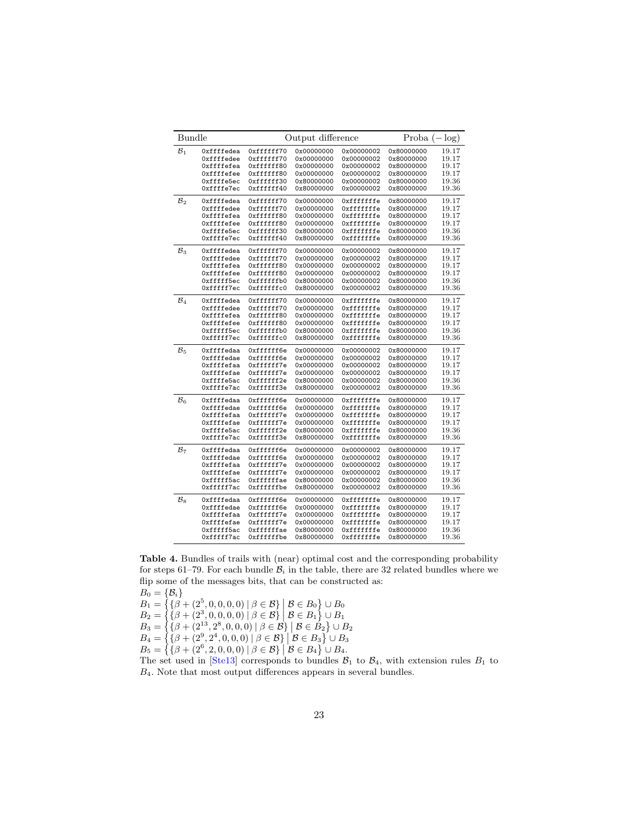| Bundle          |                          |                          | Output difference        | Proba $(-log)$           |                          |                |
|-----------------|--------------------------|--------------------------|--------------------------|--------------------------|--------------------------|----------------|
| $\mathcal{B}_1$ | Oxffffedea               | 0xffffff70               | 0x00000000               | 0x00000002               | 0x80000000               | 19.17          |
|                 | Oxffffedee               | 0xffffff70               | 0x00000000               | 0x00000002               | 0x80000000               | 19.17          |
|                 | Oxffffefea               | 0xffffff60               | 0x00000000               | 0x00000002               | 0x80000000               | 19.17          |
|                 | 0xffffefee               | 0xffffff60               | 0x00000000               | 0x00000002               | 0x80000000               | 19.17          |
|                 | Oxffffe5ec               | 0xffffff30               | 0x80000000               | 0x00000002               | 0x80000000               | 19.36          |
|                 | Oxffffe7ec               | 0xffffff40               | 0x80000000               | 0x00000002               | 0x80000000               | 19.36          |
| $\mathcal{B}_2$ | Oxffffedea               | 0xffffff70               | 0x00000000               | Oxfffffffe               | 0x80000000               | 19.17          |
|                 | 0xffffedee               | 0xffffff70               | 0x00000000               | Oxfffffffe               | 0x80000000               | 19.17          |
|                 | Oxffffefea               | 0xffffff60               | 0x00000000               | Oxfffffffe               | 0x80000000               | 19.17          |
|                 | Oxffffefee               | 0xffffff60               | 0x00000000               | Oxfffffffe               | 0x80000000               | 19.17          |
|                 | Oxffffe5ec               | 0xffffff30               | 0x80000000               | Oxfffffffe               | 0x80000000               | 19.36          |
|                 | Oxffffe7ec               | 0xffffff40               | 0x80000000               | Oxfffffffe               | 0x80000000               | 19.36          |
| $\mathcal{B}_3$ | 0xffffedea               | 0xffffff70               | 0x00000000               | 0x00000002               | 0x80000000               | 19.17          |
|                 | Oxffffedee               | 0xffffff70               | 0x00000000               | 0x00000002               | 0x80000000               | 19.17          |
|                 | 0xffffefea               | 0xffffff80               | 0x00000000               | 0x00000002               | 0x80000000               | 19.17          |
|                 | Oxffffefee               | 0xffffff60               | 0x00000000               | 0x00000002               | 0x80000000               | 19.17          |
|                 | Oxfffff5ec               | Oxffffffb0               | 0x80000000               | 0x00000002               | 0x80000000               | 19.36          |
|                 | 0xfffff7ec               | 0xffffffc0               | 0x80000000               | 0x00000002               | 0x80000000               | 19.36          |
| $\mathcal{B}_4$ | Oxffffedea               | 0xffffff70               | 0x00000000               | Oxfffffffe               | 0x80000000               | 19.17          |
|                 | 0xffffedee               | Oxffffff70               | 0x00000000               | 0xfffffffe               | 0x80000000               | 19.17          |
|                 | Oxffffefea               | 0xffffff60               | 0x00000000               | Oxfffffffe               | 0x80000000               | 19.17          |
|                 | Oxffffefee               | 0xffffff60               | 0x00000000               | Oxfffffffe               | 0x80000000               | 19.17          |
|                 | Oxfffff5ec               | Oxffffffb0               | 0x80000000               | Oxfffffffe               | 0x80000000               | 19.36          |
|                 | Oxfffff7ec               | 0xffffffc0               | 0x80000000               | Oxfffffffe               | 0x80000000               | 19.36          |
| $\mathcal{B}_5$ | Oxffffedaa               | Oxffffff6e               | 0x00000000               | 0x00000002               | 0x80000000               | 19.17          |
|                 | Oxffffedae               | 0xffffff6e               | 0x00000000               | 0x00000002               | 0x80000000               | 19.17          |
|                 | Oxffffefaa               | Oxffffff7e               | 0x00000000               | 0x00000002               | 0x80000000               | 19.17          |
|                 | 0xffffefae               | Oxffffff7e               | 0x00000000               | 0x00000002               | 0x80000000               | 19.17          |
|                 | Oxffffe5ac               | 0xffffff2e               | 0x80000000               | 0x00000002               | 0x80000000               | 19.36          |
|                 | Oxffffe7ac               | Oxffffff3e               | 0x80000000               | 0x00000002               | 0x80000000               | 19.36          |
| $\mathcal{B}_6$ | Oxffffedaa               | Oxffffff6e               | 0x00000000               | Oxfffffffe               | 0x80000000               | 19.17          |
|                 | 0xffffedae               | 0xffffff6e               | 0x00000000               | 0xfffffffe               | 0x80000000               | 19.17          |
|                 | 0xffffefaa               | Oxffffff7e               | 0x00000000               | 0xfffffffe               | 0x80000000               | 19.17          |
|                 | Oxffffefae               | Oxffffff7e               | 0x00000000               | Oxfffffffe               | 0x80000000               | 19.17          |
|                 | Oxffffe5ac<br>Oxffffe7ac | Oxffffff2e<br>Oxffffff3e | 0x80000000<br>0x80000000 | Oxfffffffe<br>Oxfffffffe | 0x80000000<br>0x80000000 | 19.36<br>19.36 |
|                 |                          |                          |                          |                          |                          |                |
| $\mathcal{B}_7$ | Oxffffedaa               | Oxffffff6e               | 0x00000000               | 0x00000002               | 0x80000000               | 19.17          |
|                 | Oxffffedae               | 0xffffff6e               | 0x00000000               | 0x00000002               | 0x80000000               | 19.17          |
|                 | Oxffffefaa<br>0xffffefae | Oxffffff7e<br>Oxffffff7e | 0x00000000<br>0x00000000 | 0x00000002<br>0x00000002 | 0x80000000<br>0x80000000 | 19.17          |
|                 | 0xfffff5ac               | 0xffffffae               | 0x80000000               | 0x00000002               | 0x80000000               | 19.17<br>19.36 |
|                 | Oxfffff7ac               | Oxffffffbe               | 0x80000000               | 0x00000002               | 0x80000000               | 19.36          |
|                 |                          |                          |                          |                          |                          |                |
| $\mathcal{B}_8$ | 0xffffedaa               | Oxffffff6e               | 0x00000000               | 0xfffffffe               | 0x80000000               | 19.17          |
|                 | 0xffffedae               | 0xffffff6e               | 0x00000000               | 0xfffffffe               | 0x80000000               | 19.17          |
|                 | 0xffffefaa<br>Oxffffefae | Oxffffff7e<br>Oxffffff7e | 0x00000000<br>0x00000000 | 0xfffffffe<br>Oxfffffffe | 0x80000000               | 19.17<br>19.17 |
|                 | Oxfffff5ac               | Oxffffffae               | 0x80000000               | Oxfffffffe               | 0x80000000<br>0x80000000 | 19.36          |
|                 | Oxfffff7ac               |                          | 0x80000000               | Oxfffffffe               | 0x80000000               | 19.36          |
|                 |                          | 0xffffffbe               |                          |                          |                          |                |

<span id="page-22-0"></span>Table 4. Bundles of trails with (near) optimal cost and the corresponding probability for steps 61–79. For each bundle  $B_i$  in the table, there are 32 related bundles where we flip some of the messages bits, that can be constructed as:  $B_0 = {\mathcal{B}_i}$ 

 $B_1 = \left\{ \left\{ \beta + (2^5, 0, 0, 0, 0) \mid \beta \in \mathcal{B} \right\} \middle| B \in B_0 \right\} \cup B_0$  $B_2 = \left\{ \left\{ \beta + (2^3, 0, 0, 0, 0) \mid \beta \in \mathcal{B} \right\} \middle| B \in B_1 \right\} \cup B_1$  $B_3 = \left\{ \left\{ \beta + \left(2^{13}, 2^8, 0, 0, 0\right) \mid \beta \in \mathcal{B} \right\} \middle| B \in \mathcal{B}_2 \right\} \cup \mathcal{B}_2$  $B_4 = \left\{ \left\{ \beta + \left( 2^9, 2^4, 0, 0, 0 \right) \mid \beta \in \mathcal{B} \right\} \middle| B \in B_3 \right\} \cup B_3$  $B_5 = \left\{ \{ \beta + (2^6, 2, 0, 0, 0) \mid \beta \in \mathcal{B} \} \middle| B \in B_4 \right\} \cup B_4.$ 

The set used in [\[Ste13\]](#page-29-9) corresponds to bundles  $B_1$  to  $B_4$ , with extension rules  $B_1$  to  $B_4$ . Note that most output differences appears in several bundles.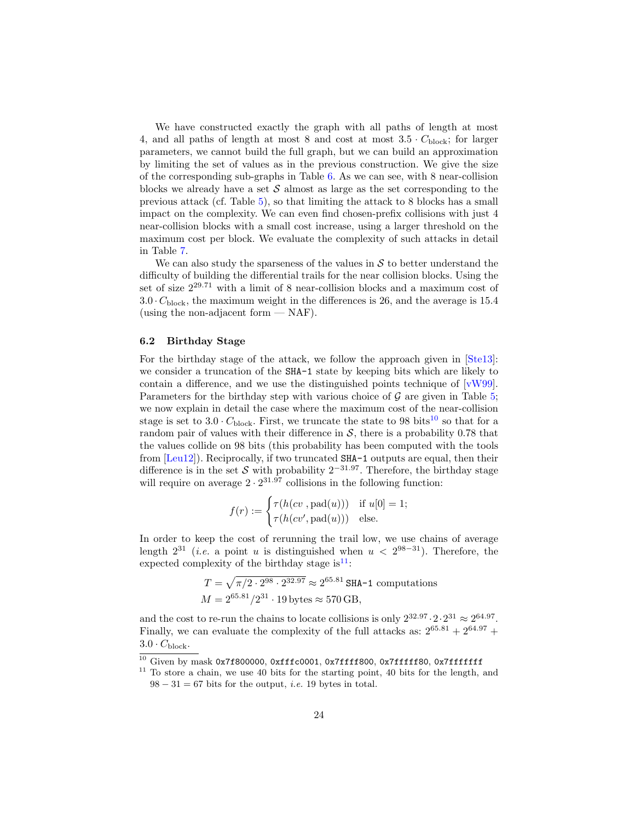We have constructed exactly the graph with all paths of length at most 4, and all paths of length at most 8 and cost at most  $3.5 \cdot C_{\text{block}}$ ; for larger parameters, we cannot build the full graph, but we can build an approximation by limiting the set of values as in the previous construction. We give the size of the corresponding sub-graphs in Table [6.](#page-24-1) As we can see, with 8 near-collision blocks we already have a set  $\mathcal S$  almost as large as the set corresponding to the previous attack (cf. Table [5\)](#page-24-0), so that limiting the attack to 8 blocks has a small impact on the complexity. We can even find chosen-prefix collisions with just 4 near-collision blocks with a small cost increase, using a larger threshold on the maximum cost per block. We evaluate the complexity of such attacks in detail in Table [7.](#page-24-2)

We can also study the sparseness of the values in  $\mathcal S$  to better understand the difficulty of building the differential trails for the near collision blocks. Using the set of size  $2^{29.71}$  with a limit of 8 near-collision blocks and a maximum cost of  $3.0 \cdot C_{\rm block}$ , the maximum weight in the differences is 26, and the average is 15.4 (using the non-adjacent form — NAF).

### 6.2 Birthday Stage

For the birthday stage of the attack, we follow the approach given in [\[Ste13\]](#page-29-9): we consider a truncation of the SHA-1 state by keeping bits which are likely to contain a difference, and we use the distinguished points technique of [\[vW99\]](#page-29-10). Parameters for the birthday step with various choice of  $\mathcal G$  are given in Table [5;](#page-24-0) we now explain in detail the case where the maximum cost of the near-collision stage is set to  $3.0 \cdot C_{\rm block}$ . First, we truncate the state to 98 bits<sup>[10](#page-23-0)</sup> so that for a random pair of values with their difference in  $S$ , there is a probability 0.78 that the values collide on 98 bits (this probability has been computed with the tools from [\[Leu12\]](#page-28-16)). Reciprocally, if two truncated SHA-1 outputs are equal, then their difference is in the set S with probability  $2^{-31.97}$ . Therefore, the birthday stage will require on average  $2 \cdot 2^{31.97}$  collisions in the following function:

$$
f(r) := \begin{cases} \tau(h(cv, pad(u))) & \text{if } u[0] = 1; \\ \tau(h(cv', pad(u))) & \text{else.} \end{cases}
$$

In order to keep the cost of rerunning the trail low, we use chains of average length  $2^{31}$  (*i.e.* a point u is distinguished when  $u < 2^{98-31}$ ). Therefore, the expected complexity of the birthday stage is  $11$ :

$$
T = \sqrt{\pi/2 \cdot 2^{98} \cdot 2^{32.97}} \approx 2^{65.81} \text{ SHA-1 computations}
$$
  

$$
M = 2^{65.81} / 2^{31} \cdot 19 \text{ bytes} \approx 570 \text{ GB},
$$

and the cost to re-run the chains to locate collisions is only  $2^{32.97} \cdot 2 \cdot 2^{31} \approx 2^{64.97}$ . Finally, we can evaluate the complexity of the full attacks as:  $2^{65.81} + 2^{64.97} +$  $3.0 \cdot C_{\rm block}$ .

<span id="page-23-0"></span><sup>10</sup> Given by mask 0x7f800000, 0xfffc0001, 0x7ffff800, 0x7fffff80, 0x7fffffff

<span id="page-23-1"></span> $11$  To store a chain, we use 40 bits for the starting point, 40 bits for the length, and  $98 - 31 = 67$  bits for the output, *i.e.* 19 bytes in total.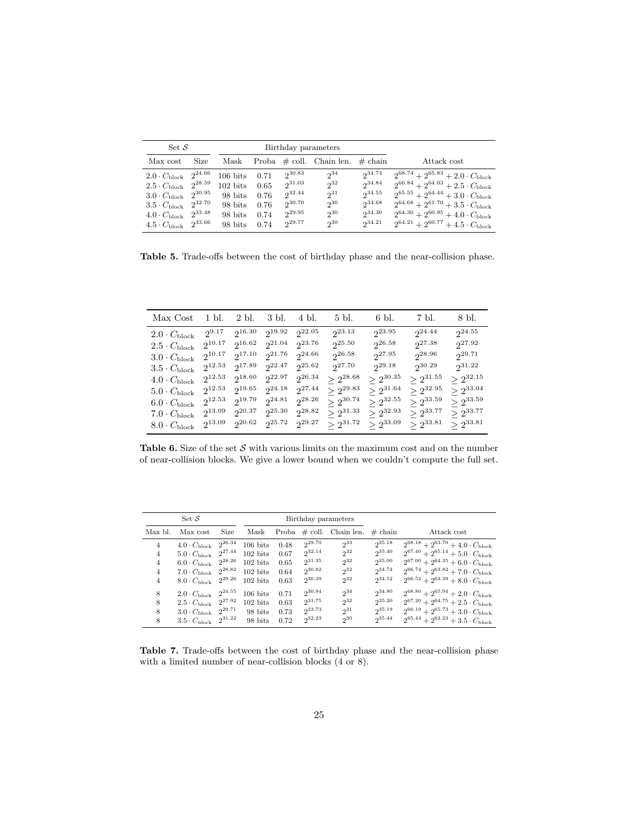| Set $\mathcal S$                                                                                                                                                           |                                                                              |                                                                                      |                                              | Birthday parameters                                                               |                                                                      |                                                                              |                                                                                                                                                                                                                                                                                                                                           |
|----------------------------------------------------------------------------------------------------------------------------------------------------------------------------|------------------------------------------------------------------------------|--------------------------------------------------------------------------------------|----------------------------------------------|-----------------------------------------------------------------------------------|----------------------------------------------------------------------|------------------------------------------------------------------------------|-------------------------------------------------------------------------------------------------------------------------------------------------------------------------------------------------------------------------------------------------------------------------------------------------------------------------------------------|
| Max cost                                                                                                                                                                   | Size                                                                         | Mask                                                                                 | Proba                                        |                                                                                   | $\#$ coll. Chain len.                                                | $#$ chain                                                                    | Attack cost                                                                                                                                                                                                                                                                                                                               |
| $2.0 \cdot C_{\rm block}$<br>$2.5 \cdot C_{\rm block}$<br>$3.0 \cdot C_{\rm block}$<br>$3.5 \cdot C_{\rm block}$<br>$4.0 \cdot C_{\rm block}$<br>$4.5 \cdot C_{\rm block}$ | $2^{24.66}$<br>228.59<br>$2^{30.95}$<br>232.70<br>$2^{33.48}$<br>$2^{33.66}$ | $106 \text{ bits}$<br>$102 \text{ bits}$<br>98 bits<br>98 bits<br>98 bits<br>98 bits | 0.71<br>0.65<br>0.76<br>0.76<br>0.74<br>0.74 | $2^{30.83}$<br>$2^{31.03}$<br>$2^{32.44}$<br>$2^{30.70}$<br>229.95<br>$2^{29.77}$ | $2^{34}$<br>$2^{32}$<br>$2^{31}$<br>$2^{30}$<br>$2^{30}$<br>$2^{30}$ | $2^{34.74}$<br>234.84<br>$2^{34.55}$<br>$2^{34.68}$<br>234.30<br>$2^{34.21}$ | $2^{68.74} + 2^{65.83} + 2.0 \cdot C_{\text{block}}$<br>$2^{66.84} + 2^{64.03} + 2.5 \cdot C_{\text{block}}$<br>$2^{65.55} + 2^{64.44} + 3.0 \cdot C_{\rm block}$<br>$2^{64.68} + 2^{61.70} + 3.5 \cdot C_{\text{block}}$<br>$2^{64.30} + 2^{60.95} + 4.0 \cdot C_{\text{block}}$<br>$2^{64.21} + 2^{60.77} + 4.5 \cdot C_{\text{block}}$ |

<span id="page-24-0"></span>Table 5. Trade-offs between the cost of birthday phase and the near-collision phase.

| Max Cost                  |             | 1 bl. 2 bl. 3 bl. 4 bl.                                           |                                     |             | 5 bl.         | 6 bl.         | 7 bl.         | 8 bl.         |
|---------------------------|-------------|-------------------------------------------------------------------|-------------------------------------|-------------|---------------|---------------|---------------|---------------|
| $2.0 \cdot C_{\rm block}$ | $2^{9.17}$  | $2^{16.30}$ $2^{19.92}$ $2^{22.05}$                               |                                     |             | $2^{23.13}$   | $2^{23.95}$   | $2^{24.44}$   | $2^{24.55}$   |
| $2.5 \cdot C_{\rm block}$ |             | $2^{10.17}$ $\  \, 2^{16.62}$ $\  \, 2^{21.04}$ $\  \, 2^{23.76}$ |                                     |             | $2^{25.50}$   | $2^{26.58}$   | $2^{27.38}$   | $2^{27.92}$   |
| $3.0 \cdot C_{\rm block}$ |             | $2^{10.17}$ $2^{17.10}$ $2^{21.76}$                               |                                     | $2^{24.66}$ | $2^{26.58}$   | $2^{27.95}$   | $2^{28.96}$   | $2^{29.71}$   |
| $3.5 \cdot C_{\rm block}$ |             | $2^{12.53}$ $2^{17.89}$ $2^{22.47}$ $2^{25.62}$                   |                                     |             | $2^{27.70}$   | $2^{29.18}$   | $2^{30.29}$   | $2^{31.22}$   |
| $4.0 \cdot C_{\rm block}$ |             | $2^{12.53}$ $2^{18.60}$ $2^{22.97}$ $2^{26.34}$                   |                                     |             | $> 2^{28.68}$ | $> 2^{30.35}$ | $> 2^{31.55}$ | $> 2^{32.15}$ |
| $5.0 \cdot C_{\rm block}$ |             | $2^{12.53}$ $2^{19.65}$ $2^{24.18}$                               |                                     | $2^{27.44}$ | $> 2^{29.83}$ | $> 2^{31.64}$ | $> 2^{32.95}$ | $> 2^{33.04}$ |
| $6.0 \cdot C_{\rm block}$ |             | $2^{12.53}$ $2^{19.79}$ $2^{24.81}$ $2^{28.26}$                   |                                     |             | $> 2^{30.74}$ | $> 2^{32.55}$ | $> 2^{33.59}$ | $> 2^{33.59}$ |
| $7.0 \cdot C_{\rm block}$ |             | $2^{13.09}$ $2^{20.37}$                                           | $2^{25.30}$                         | $2^{28.82}$ | $> 2^{31.33}$ | $> 2^{32.93}$ | $> 2^{33.77}$ | $> 2^{33.77}$ |
| $8.0 \cdot C_{\rm block}$ | $2^{13.09}$ |                                                                   | $2^{20.62}$ $2^{25.72}$ $2^{29.27}$ |             | $> 2^{31.72}$ | $> 2^{33.09}$ | $> 2^{33.81}$ | $> 2^{33.81}$ |

<span id="page-24-1"></span>Table 6. Size of the set  $S$  with various limits on the maximum cost and on the number of near-collision blocks. We give a lower bound when we couldn't compute the full set.

| Set $\mathcal S$ |                           |             |                    |       |             | Birthday parameters |             |                                                         |
|------------------|---------------------------|-------------|--------------------|-------|-------------|---------------------|-------------|---------------------------------------------------------|
| Max bl.          | Max cost                  | Size        | Mask               | Proba | $\#$ coll.  | Chain len.          | $#$ chain   | Attack cost                                             |
| $\overline{4}$   | $4.0 \cdot C_{\rm block}$ | $2^{26.34}$ | $106$ bits         | 0.48  | 29.70       | 233                 | 235.18      | $\overline{2}^{68.18}+2^{63.70}+4.0\cdot C_{\rm block}$ |
| $\overline{4}$   | $5.0 \cdot C_{\rm block}$ | $2^{27.44}$ | $102 \text{ bits}$ | 0.67  | $2^{32.14}$ | $2^{32}$            | 235.40      | $2^{67.40}+2^{65.14}+5.0\cdot C_{\rm block}$            |
| $\overline{4}$   | $6.0 \cdot C_{\rm block}$ | $2^{28.26}$ | $102 \text{ bits}$ | 0.65  | $2^{31.35}$ | $2^{32}$            | 235.00      | $2^{67.00} + 2^{64.35} + 6.0 \cdot C_{\rm block}$       |
| $\overline{4}$   | $7.0 \cdot C_{\rm block}$ | $2^{28.82}$ | $102 \text{ bits}$ | 0.64  | $2^{30.82}$ | $2^{32}$            | 234.74      | $2^{66.74}+2^{63.82}+7.0\cdot C_{\rm block}$            |
| $\overline{4}$   | $8.0 \cdot C_{\rm block}$ | $2^{29.26}$ | $102 \text{ bits}$ | 0.63  | 230.39      | $2^{32}$            | 234.52      | $2^{66.52}+2^{63.39}+8.0\cdot C_{\rm block}$            |
| 8                | $2.0 \cdot C_{\rm block}$ | $2^{24.55}$ | $106$ bits         | 0.71  | $2^{30.94}$ | $2^{34}$            | 234.80      | $2^{68.80}+2^{65.94}+2.0\cdot C_{\rm block}$            |
| 8                | $2.5 \cdot C_{\rm block}$ | $2^{27.92}$ | $102 \text{ bits}$ | 0.63  | $2^{31.75}$ | $2^{32}$            | $2^{35.20}$ | $2^{67.20} + 2^{64.75} + 2.5\cdot C_{\rm block}$        |
| 8                | $3.0 \cdot C_{\rm block}$ | $2^{29.71}$ | 98 bits            | 0.73  | 233.73      | 231                 | 235.19      | $2^{66.19} + 2^{65.73} + 3.0 \cdot C_{\rm block}$       |
| 8                | $3.5 \cdot C_{\rm block}$ | $2^{31.22}$ | 98 bits            | 0.72  | $2^{32.23}$ | $2^{30}$            | $2^{35.44}$ | $2^{65.44}+2^{63.23}+3.5\cdot C_\mathrm{block}$         |

<span id="page-24-2"></span>Table 7. Trade-offs between the cost of birthday phase and the near-collision phase with a limited number of near-collision blocks (4 or 8).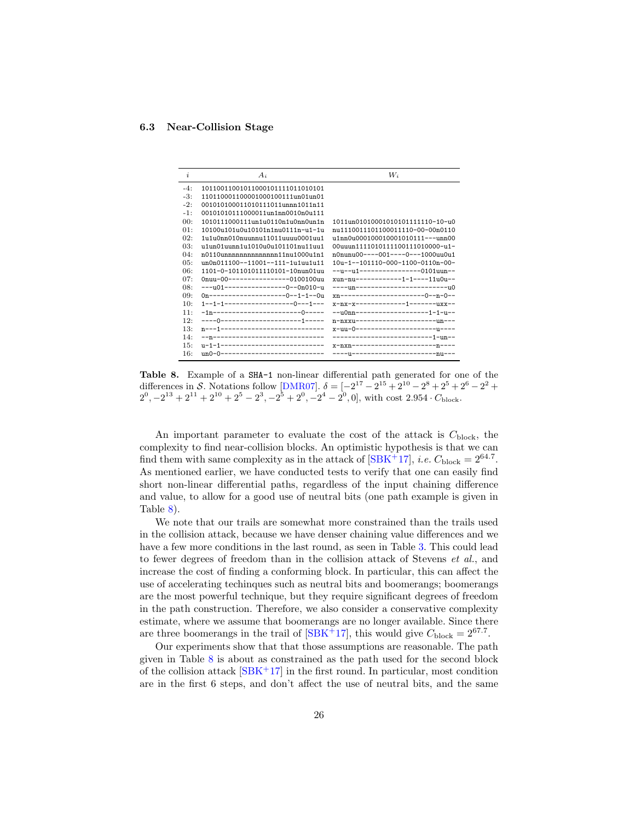#### <span id="page-25-0"></span>6.3 Near-Collision Stage

| i.     | $A_i$                               | $W_i$                                    |
|--------|-------------------------------------|------------------------------------------|
| $-4$   | 10110011001011000101111011010101    |                                          |
| $-3:$  | 110110001100001000100111un01un01    |                                          |
| $-2$   | 001010100011010111011unnn1011n11    |                                          |
| $-1$ : | 00101010111000011un1nn0010n0u111    |                                          |
| 00:    | 1010111000111un1u0110n1u0nn0un1n    | 1011un01010001010101111110-10-u0         |
| 01:    | 10100u101u0u10101n1nu0111n-u1-1u    | nu1110011101100011110-00-00n0110         |
| 02:    | 1u1u0nn010nuunnu11011uuuu0001uu1    | u1nn0u000100010001010111---unn00         |
| 0.3:   | u1un01uunn1u1010u0u101101nu11uu1    | 00uuun1111010111100111010000-u1-         |
| 04:    | n0110unnnnnnnnnnnnnn11nu1000u1n1    | n0nunu00----001----0---1000uu0u1         |
| 05:    | un0n011100--11001--111-1u1uu1u11    | 10u-1--101110-000-1100-0110n-00-         |
| 06:    | 1101-0-101101011110101-10nun01uu    | $---u1---u1------------0101$             |
| 07:    | 0nuu-00----------------0100100uu    | $xun-nu---------1-1---11u0u--$           |
| 08:    | $---u01------------0---0n010-u$     |                                          |
| 09:    | $0n$ --------------------0--1-1--0u | $xn$ ----------------------0--n-0--      |
| 10:    |                                     |                                          |
| 11:    |                                     | $--u0nn---------------1-1-1-u-$          |
| 12.    |                                     |                                          |
| $13-$  | n---1----------------------------   | $x$ -uu-0----------------------------    |
| 14:    | --n------------------------------   | --------------------------1-11n--        |
| 15:    | 11-1-1----------------------------  | $x$ -n $xn$ ---------------------------- |
| 16:    | un0-0----------------------------   |                                          |

<span id="page-25-1"></span>Table 8. Example of a SHA-1 non-linear differential path generated for one of the differences in S. Notations follow [\[DMR07\]](#page-28-7).  $\delta = [-2^{17} - 2^{15} + 2^{10} - 2^8 + 2^5 + 2^6 - 2^2 +$  $2^0$ ,  $-2^{13} + 2^{11} + 2^{10} + 2^5 - 2^3$ ,  $-2^5 + 2^0$ ,  $-2^4 - 2^0$ , 0], with cost  $2.954 \cdot C_{\text{block}}$ .

An important parameter to evaluate the cost of the attack is  $C_{block}$ , the complexity to find near-collision blocks. An optimistic hypothesis is that we can find them with same complexity as in the attack of  $[SBK^+17]$  $[SBK^+17]$ , *i.e.*  $C_{\text{block}} = 2^{64.7}$ . As mentioned earlier, we have conducted tests to verify that one can easily find short non-linear differential paths, regardless of the input chaining difference and value, to allow for a good use of neutral bits (one path example is given in Table [8\)](#page-25-1).

We note that our trails are somewhat more constrained than the trails used in the collision attack, because we have denser chaining value differences and we have a few more conditions in the last round, as seen in Table [3.](#page-21-0) This could lead to fewer degrees of freedom than in the collision attack of Stevens et al., and increase the cost of finding a conforming block. In particular, this can affect the use of accelerating techinques such as neutral bits and boomerangs; boomerangs are the most powerful technique, but they require significant degrees of freedom in the path construction. Therefore, we also consider a conservative complexity estimate, where we assume that boomerangs are no longer available. Since there are three boomerangs in the trail of  $[SBK^+17]$  $[SBK^+17]$ , this would give  $C_{\text{block}} = 2^{67.7}$ .

Our experiments show that that those assumptions are reasonable. The path given in Table [8](#page-25-1) is about as constrained as the path used for the second block of the collision attack  $[SBK^+17]$  $[SBK^+17]$  in the first round. In particular, most condition are in the first 6 steps, and don't affect the use of neutral bits, and the same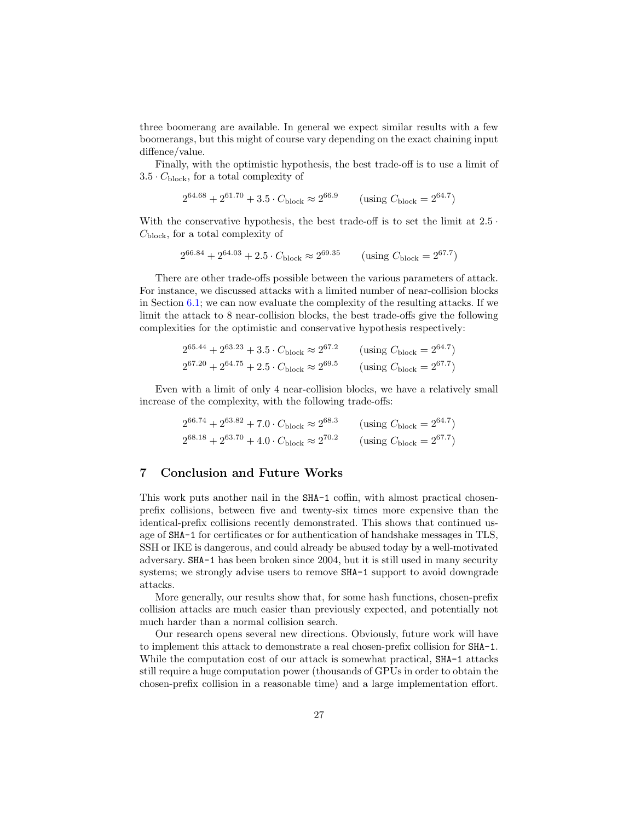three boomerang are available. In general we expect similar results with a few boomerangs, but this might of course vary depending on the exact chaining input diffence/value.

Finally, with the optimistic hypothesis, the best trade-off is to use a limit of  $3.5 \cdot C_{\rm block}$ , for a total complexity of

$$
2^{64.68} + 2^{61.70} + 3.5 \cdot C_{\text{block}} \approx 2^{66.9} \qquad \text{(using } C_{\text{block}} = 2^{64.7})
$$

With the conservative hypothesis, the best trade-off is to set the limit at  $2.5 \cdot$  $C_{\text{block}}$ , for a total complexity of

$$
2^{66.84} + 2^{64.03} + 2.5 \cdot C_{\rm block} \approx 2^{69.35} \qquad \text{(using } C_{\rm block} = 2^{67.7})
$$

There are other trade-offs possible between the various parameters of attack. For instance, we discussed attacks with a limited number of near-collision blocks in Section [6.1;](#page-21-1) we can now evaluate the complexity of the resulting attacks. If we limit the attack to 8 near-collision blocks, the best trade-offs give the following complexities for the optimistic and conservative hypothesis respectively:

$$
2^{65.44} + 2^{63.23} + 3.5 \cdot C_{\text{block}} \approx 2^{67.2} \qquad \text{(using } C_{\text{block}} = 2^{64.7} \text{)}
$$
  

$$
2^{67.20} + 2^{64.75} + 2.5 \cdot C_{\text{block}} \approx 2^{69.5} \qquad \text{(using } C_{\text{block}} = 2^{67.7} \text{)}
$$

Even with a limit of only 4 near-collision blocks, we have a relatively small increase of the complexity, with the following trade-offs:

$$
2^{66.74} + 2^{63.82} + 7.0 \cdot C_{\text{block}} \approx 2^{68.3} \qquad \text{(using } C_{\text{block}} = 2^{64.7})
$$
  

$$
2^{68.18} + 2^{63.70} + 4.0 \cdot C_{\text{block}} \approx 2^{70.2} \qquad \text{(using } C_{\text{block}} = 2^{67.7})
$$

# <span id="page-26-0"></span>7 Conclusion and Future Works

This work puts another nail in the SHA-1 coffin, with almost practical chosenprefix collisions, between five and twenty-six times more expensive than the identical-prefix collisions recently demonstrated. This shows that continued usage of SHA-1 for certificates or for authentication of handshake messages in TLS, SSH or IKE is dangerous, and could already be abused today by a well-motivated adversary. SHA-1 has been broken since 2004, but it is still used in many security systems; we strongly advise users to remove SHA-1 support to avoid downgrade attacks.

More generally, our results show that, for some hash functions, chosen-prefix collision attacks are much easier than previously expected, and potentially not much harder than a normal collision search.

Our research opens several new directions. Obviously, future work will have to implement this attack to demonstrate a real chosen-prefix collision for SHA-1. While the computation cost of our attack is somewhat practical, SHA-1 attacks still require a huge computation power (thousands of GPUs in order to obtain the chosen-prefix collision in a reasonable time) and a large implementation effort.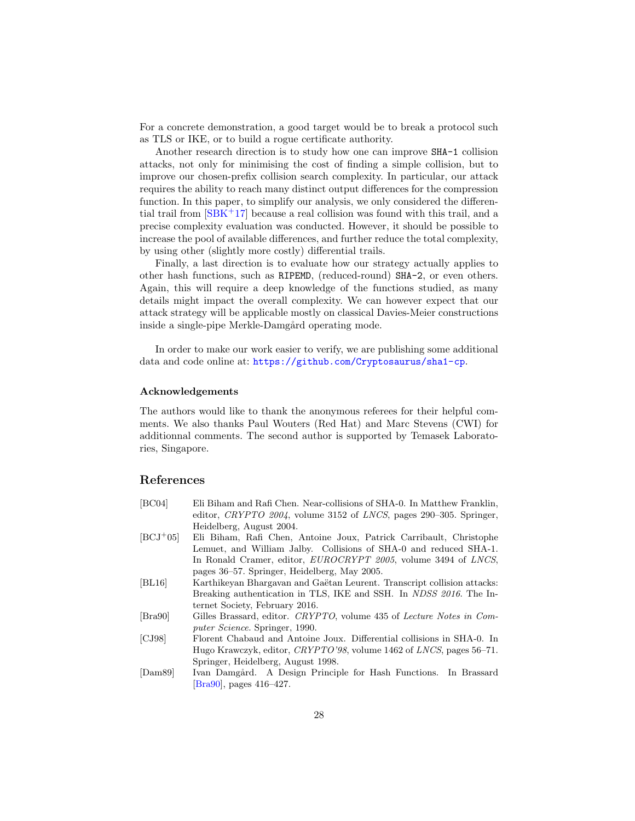For a concrete demonstration, a good target would be to break a protocol such as TLS or IKE, or to build a rogue certificate authority.

Another research direction is to study how one can improve SHA-1 collision attacks, not only for minimising the cost of finding a simple collision, but to improve our chosen-prefix collision search complexity. In particular, our attack requires the ability to reach many distinct output differences for the compression function. In this paper, to simplify our analysis, we only considered the differential trail from [\[SBK](#page-29-8)+17] because a real collision was found with this trail, and a precise complexity evaluation was conducted. However, it should be possible to increase the pool of available differences, and further reduce the total complexity, by using other (slightly more costly) differential trails.

Finally, a last direction is to evaluate how our strategy actually applies to other hash functions, such as RIPEMD, (reduced-round) SHA-2, or even others. Again, this will require a deep knowledge of the functions studied, as many details might impact the overall complexity. We can however expect that our attack strategy will be applicable mostly on classical Davies-Meier constructions inside a single-pipe Merkle-Damgård operating mode.

In order to make our work easier to verify, we are publishing some additional data and code online at: <https://github.com/Cryptosaurus/sha1-cp>.

### Acknowledgements

The authors would like to thank the anonymous referees for their helpful comments. We also thanks Paul Wouters (Red Hat) and Marc Stevens (CWI) for additionnal comments. The second author is supported by Temasek Laboratories, Singapore.

### References

- <span id="page-27-3"></span>[BC04] Eli Biham and Rafi Chen. Near-collisions of SHA-0. In Matthew Franklin, editor, CRYPTO 2004, volume 3152 of LNCS, pages 290–305. Springer, Heidelberg, August 2004.
- <span id="page-27-2"></span>[BCJ<sup>+</sup>05] Eli Biham, Rafi Chen, Antoine Joux, Patrick Carribault, Christophe Lemuet, and William Jalby. Collisions of SHA-0 and reduced SHA-1. In Ronald Cramer, editor, EUROCRYPT 2005, volume 3494 of LNCS, pages 36–57. Springer, Heidelberg, May 2005.
- <span id="page-27-0"></span>[BL16] Karthikeyan Bhargavan and Gaëtan Leurent. Transcript collision attacks: Breaking authentication in TLS, IKE and SSH. In NDSS 2016. The Internet Society, February 2016.
- <span id="page-27-5"></span>[Bra90] Gilles Brassard, editor. CRYPTO, volume 435 of Lecture Notes in Computer Science. Springer, 1990.
- <span id="page-27-1"></span>[CJ98] Florent Chabaud and Antoine Joux. Differential collisions in SHA-0. In Hugo Krawczyk, editor, CRYPTO'98, volume 1462 of LNCS, pages 56–71. Springer, Heidelberg, August 1998.
- <span id="page-27-4"></span>[Dam89] Ivan Damgård. A Design Principle for Hash Functions. In Brassard [\[Bra90\]](#page-27-5), pages 416–427.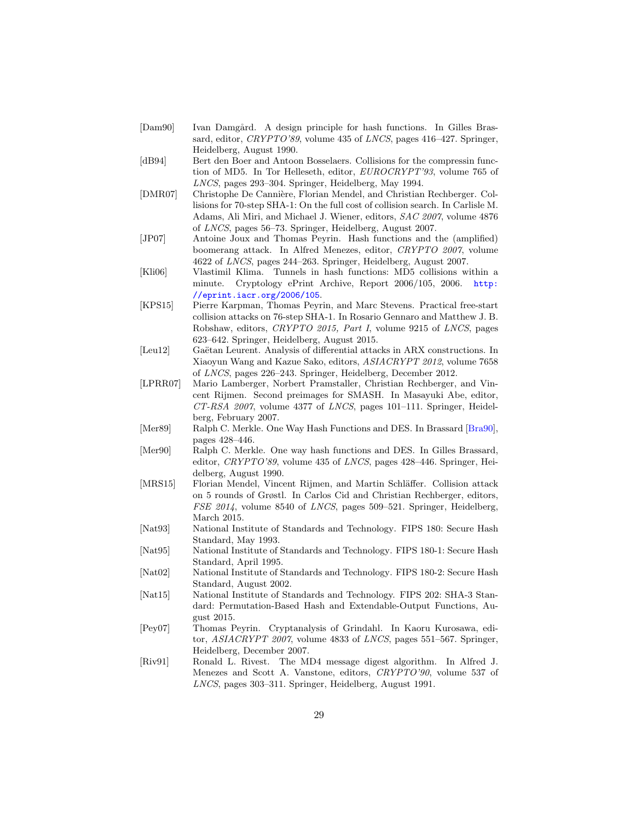- <span id="page-28-1"></span>[Dam90] Ivan Damgård. A design principle for hash functions. In Gilles Brassard, editor, *CRYPTO'89*, volume 435 of *LNCS*, pages 416–427. Springer, Heidelberg, August 1990.
- <span id="page-28-14"></span>[dB94] Bert den Boer and Antoon Bosselaers. Collisions for the compressin function of MD5. In Tor Helleseth, editor, EUROCRYPT'93, volume 765 of LNCS, pages 293–304. Springer, Heidelberg, May 1994.
- <span id="page-28-7"></span>[DMR07] Christophe De Cannière, Florian Mendel, and Christian Rechberger. Collisions for 70-step SHA-1: On the full cost of collision search. In Carlisle M. Adams, Ali Miri, and Michael J. Wiener, editors, SAC 2007, volume 4876 of LNCS, pages 56–73. Springer, Heidelberg, August 2007.
- <span id="page-28-10"></span>[JP07] Antoine Joux and Thomas Peyrin. Hash functions and the (amplified) boomerang attack. In Alfred Menezes, editor, CRYPTO 2007, volume 4622 of LNCS, pages 244–263. Springer, Heidelberg, August 2007.
- <span id="page-28-9"></span>[Kli06] Vlastimil Klima. Tunnels in hash functions: MD5 collisions within a minute. Cryptology ePrint Archive, Report 2006/105, 2006. [http:](http://eprint.iacr.org/2006/105) [//eprint.iacr.org/2006/105](http://eprint.iacr.org/2006/105).
- <span id="page-28-8"></span>[KPS15] Pierre Karpman, Thomas Peyrin, and Marc Stevens. Practical free-start collision attacks on 76-step SHA-1. In Rosario Gennaro and Matthew J. B. Robshaw, editors, CRYPTO 2015, Part I, volume 9215 of LNCS, pages 623–642. Springer, Heidelberg, August 2015.
- <span id="page-28-16"></span>[Leu12] Gaëtan Leurent. Analysis of differential attacks in ARX constructions. In Xiaoyun Wang and Kazue Sako, editors, ASIACRYPT 2012, volume 7658 of LNCS, pages 226–243. Springer, Heidelberg, December 2012.
- <span id="page-28-11"></span>[LPRR07] Mario Lamberger, Norbert Pramstaller, Christian Rechberger, and Vincent Rijmen. Second preimages for SMASH. In Masayuki Abe, editor, CT-RSA 2007, volume 4377 of LNCS, pages 101–111. Springer, Heidelberg, February 2007.
- <span id="page-28-15"></span>[Mer89] Ralph C. Merkle. One Way Hash Functions and DES. In Brassard [\[Bra90\]](#page-27-5), pages 428–446.
- <span id="page-28-0"></span>[Mer90] Ralph C. Merkle. One way hash functions and DES. In Gilles Brassard, editor, CRYPTO'89, volume 435 of LNCS, pages 428–446. Springer, Heidelberg, August 1990.
- <span id="page-28-13"></span>[MRS15] Florian Mendel, Vincent Rijmen, and Martin Schläffer. Collision attack on 5 rounds of Grøstl. In Carlos Cid and Christian Rechberger, editors, FSE 2014, volume 8540 of LNCS, pages 509–521. Springer, Heidelberg, March 2015.
- <span id="page-28-3"></span>[Nat93] National Institute of Standards and Technology. FIPS 180: Secure Hash Standard, May 1993.
- <span id="page-28-4"></span>[Nat95] National Institute of Standards and Technology. FIPS 180-1: Secure Hash Standard, April 1995.
- <span id="page-28-5"></span>[Nat02] National Institute of Standards and Technology. FIPS 180-2: Secure Hash Standard, August 2002.
- <span id="page-28-6"></span>[Nat15] National Institute of Standards and Technology. FIPS 202: SHA-3 Standard: Permutation-Based Hash and Extendable-Output Functions, August 2015.
- <span id="page-28-12"></span>[Pey07] Thomas Peyrin. Cryptanalysis of Grindahl. In Kaoru Kurosawa, editor, ASIACRYPT 2007, volume 4833 of LNCS, pages 551–567. Springer, Heidelberg, December 2007.
- <span id="page-28-2"></span>[Riv91] Ronald L. Rivest. The MD4 message digest algorithm. In Alfred J. Menezes and Scott A. Vanstone, editors, CRYPTO'90, volume 537 of LNCS, pages 303–311. Springer, Heidelberg, August 1991.